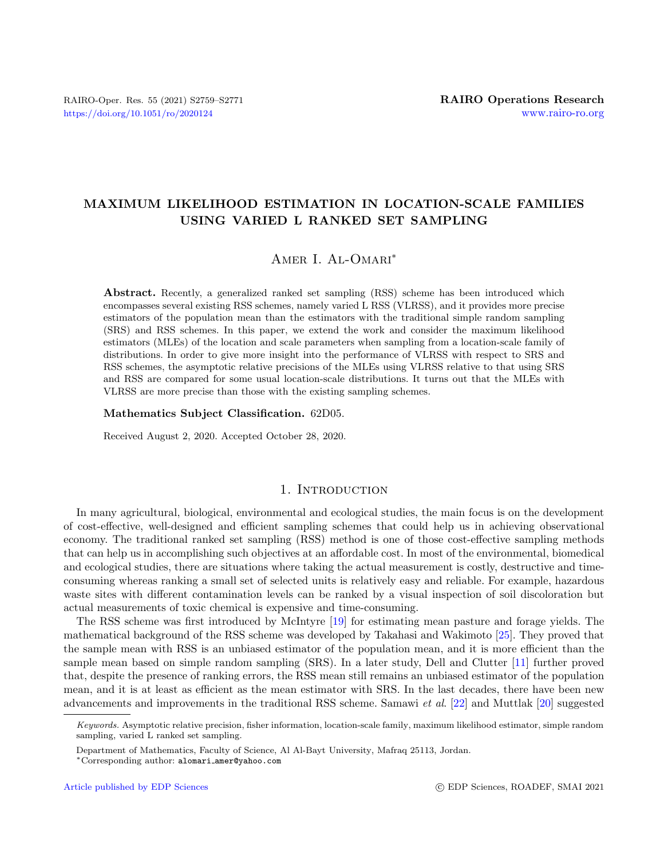# MAXIMUM LIKELIHOOD ESTIMATION IN LOCATION-SCALE FAMILIES USING VARIED L RANKED SET SAMPLING

## AMER I. AL-OMARI<sup>\*</sup>

Abstract. Recently, a generalized ranked set sampling (RSS) scheme has been introduced which encompasses several existing RSS schemes, namely varied L RSS (VLRSS), and it provides more precise estimators of the population mean than the estimators with the traditional simple random sampling (SRS) and RSS schemes. In this paper, we extend the work and consider the maximum likelihood estimators (MLEs) of the location and scale parameters when sampling from a location-scale family of distributions. In order to give more insight into the performance of VLRSS with respect to SRS and RSS schemes, the asymptotic relative precisions of the MLEs using VLRSS relative to that using SRS and RSS are compared for some usual location-scale distributions. It turns out that the MLEs with VLRSS are more precise than those with the existing sampling schemes.

#### Mathematics Subject Classification. 62D05.

Received August 2, 2020. Accepted October 28, 2020.

## 1. INTRODUCTION

In many agricultural, biological, environmental and ecological studies, the main focus is on the development of cost-effective, well-designed and efficient sampling schemes that could help us in achieving observational economy. The traditional ranked set sampling (RSS) method is one of those cost-effective sampling methods that can help us in accomplishing such objectives at an affordable cost. In most of the environmental, biomedical and ecological studies, there are situations where taking the actual measurement is costly, destructive and timeconsuming whereas ranking a small set of selected units is relatively easy and reliable. For example, hazardous waste sites with different contamination levels can be ranked by a visual inspection of soil discoloration but actual measurements of toxic chemical is expensive and time-consuming.

The RSS scheme was first introduced by McIntyre [\[19\]](#page-12-0) for estimating mean pasture and forage yields. The mathematical background of the RSS scheme was developed by Takahasi and Wakimoto [\[25\]](#page-12-1). They proved that the sample mean with RSS is an unbiased estimator of the population mean, and it is more efficient than the sample mean based on simple random sampling (SRS). In a later study, Dell and Clutter [\[11\]](#page-11-0) further proved that, despite the presence of ranking errors, the RSS mean still remains an unbiased estimator of the population mean, and it is at least as efficient as the mean estimator with SRS. In the last decades, there have been new advancements and improvements in the traditional RSS scheme. Samawi et al. [\[22\]](#page-12-2) and Muttlak [\[20\]](#page-12-3) suggested

Keywords. Asymptotic relative precision, fisher information, location-scale family, maximum likelihood estimator, simple random sampling, varied L ranked set sampling.

Department of Mathematics, Faculty of Science, Al Al-Bayt University, Mafraq 25113, Jordan.

<sup>∗</sup>Corresponding author: alomari [amer@yahoo.com](mailto:alomari_amer@yahoo.com)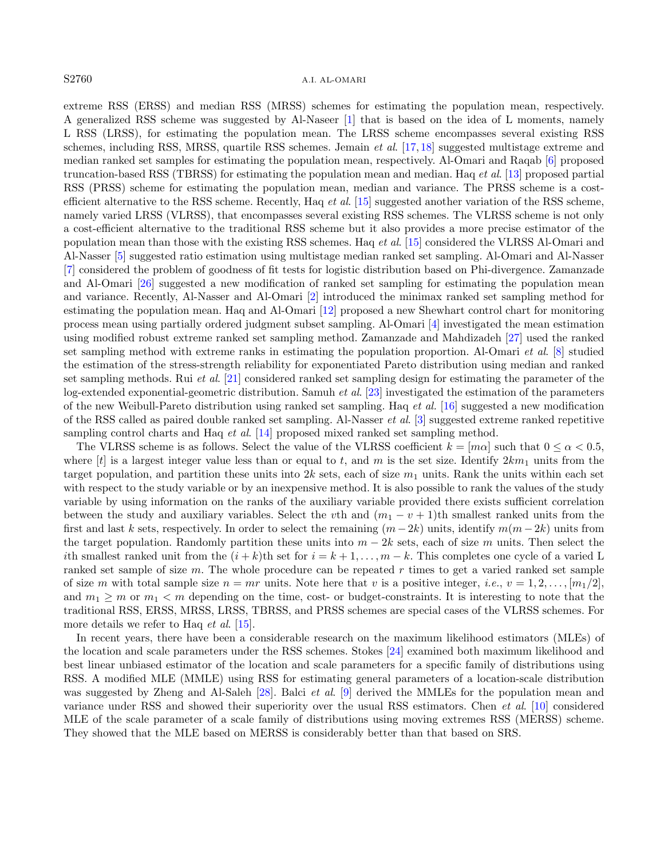#### S2760 A.I. AL-OMARI

extreme RSS (ERSS) and median RSS (MRSS) schemes for estimating the population mean, respectively. A generalized RSS scheme was suggested by Al-Naseer [\[1\]](#page-11-1) that is based on the idea of L moments, namely L RSS (LRSS), for estimating the population mean. The LRSS scheme encompasses several existing RSS schemes, including RSS, MRSS, quartile RSS schemes. Jemain *et al.* [\[17,](#page-12-4) [18\]](#page-12-5) suggested multistage extreme and median ranked set samples for estimating the population mean, respectively. Al-Omari and Raqab [\[6\]](#page-11-2) proposed truncation-based RSS (TBRSS) for estimating the population mean and median. Haq et al. [\[13\]](#page-11-3) proposed partial RSS (PRSS) scheme for estimating the population mean, median and variance. The PRSS scheme is a costefficient alternative to the RSS scheme. Recently, Haq *et al.* [\[15\]](#page-11-4) suggested another variation of the RSS scheme, namely varied LRSS (VLRSS), that encompasses several existing RSS schemes. The VLRSS scheme is not only a cost-efficient alternative to the traditional RSS scheme but it also provides a more precise estimator of the population mean than those with the existing RSS schemes. Haq et al. [\[15\]](#page-11-4) considered the VLRSS Al-Omari and Al-Nasser [\[5\]](#page-11-5) suggested ratio estimation using multistage median ranked set sampling. Al-Omari and Al-Nasser [\[7\]](#page-11-6) considered the problem of goodness of fit tests for logistic distribution based on Phi-divergence. Zamanzade and Al-Omari [\[26\]](#page-12-6) suggested a new modification of ranked set sampling for estimating the population mean and variance. Recently, Al-Nasser and Al-Omari [\[2\]](#page-11-7) introduced the minimax ranked set sampling method for estimating the population mean. Haq and Al-Omari [\[12\]](#page-11-8) proposed a new Shewhart control chart for monitoring process mean using partially ordered judgment subset sampling. Al-Omari [\[4\]](#page-11-9) investigated the mean estimation using modified robust extreme ranked set sampling method. Zamanzade and Mahdizadeh [\[27\]](#page-12-7) used the ranked set sampling method with extreme ranks in estimating the population proportion. Al-Omari et al. [\[8\]](#page-11-10) studied the estimation of the stress-strength reliability for exponentiated Pareto distribution using median and ranked set sampling methods. Rui et al. [\[21\]](#page-12-8) considered ranked set sampling design for estimating the parameter of the log-extended exponential-geometric distribution. Samuh et al. [\[23\]](#page-12-9) investigated the estimation of the parameters of the new Weibull-Pareto distribution using ranked set sampling. Haq et al. [\[16\]](#page-12-10) suggested a new modification of the RSS called as paired double ranked set sampling. Al-Nasser *et al.* [\[3\]](#page-11-11) suggested extreme ranked repetitive sampling control charts and Haq *et al.* [\[14\]](#page-11-12) proposed mixed ranked set sampling method.

The VLRSS scheme is as follows. Select the value of the VLRSS coefficient  $k = [m\alpha]$  such that  $0 \le \alpha < 0.5$ , where  $[t]$  is a largest integer value less than or equal to t, and m is the set size. Identify  $2km_1$  units from the target population, and partition these units into 2k sets, each of size  $m_1$  units. Rank the units within each set with respect to the study variable or by an inexpensive method. It is also possible to rank the values of the study variable by using information on the ranks of the auxiliary variable provided there exists sufficient correlation between the study and auxiliary variables. Select the vth and  $(m_1 - v + 1)$ th smallest ranked units from the first and last k sets, respectively. In order to select the remaining  $(m - 2k)$  units, identify  $m(m - 2k)$  units from the target population. Randomly partition these units into  $m - 2k$  sets, each of size m units. Then select the ith smallest ranked unit from the  $(i + k)$ th set for  $i = k + 1, \ldots, m - k$ . This completes one cycle of a varied L ranked set sample of size  $m$ . The whole procedure can be repeated  $r$  times to get a varied ranked set sample of size m with total sample size  $n = mr$  units. Note here that v is a positive integer, i.e.,  $v = 1, 2, \ldots, [m_1/2]$ . and  $m_1 \geq m$  or  $m_1 < m$  depending on the time, cost- or budget-constraints. It is interesting to note that the traditional RSS, ERSS, MRSS, LRSS, TBRSS, and PRSS schemes are special cases of the VLRSS schemes. For more details we refer to Haq *et al.* [\[15\]](#page-11-4).

In recent years, there have been a considerable research on the maximum likelihood estimators (MLEs) of the location and scale parameters under the RSS schemes. Stokes [\[24\]](#page-12-11) examined both maximum likelihood and best linear unbiased estimator of the location and scale parameters for a specific family of distributions using RSS. A modified MLE (MMLE) using RSS for estimating general parameters of a location-scale distribution was suggested by Zheng and Al-Saleh [\[28\]](#page-12-12). Balci *et al.* [\[9\]](#page-11-13) derived the MMLEs for the population mean and variance under RSS and showed their superiority over the usual RSS estimators. Chen et al. [\[10\]](#page-11-14) considered MLE of the scale parameter of a scale family of distributions using moving extremes RSS (MERSS) scheme. They showed that the MLE based on MERSS is considerably better than that based on SRS.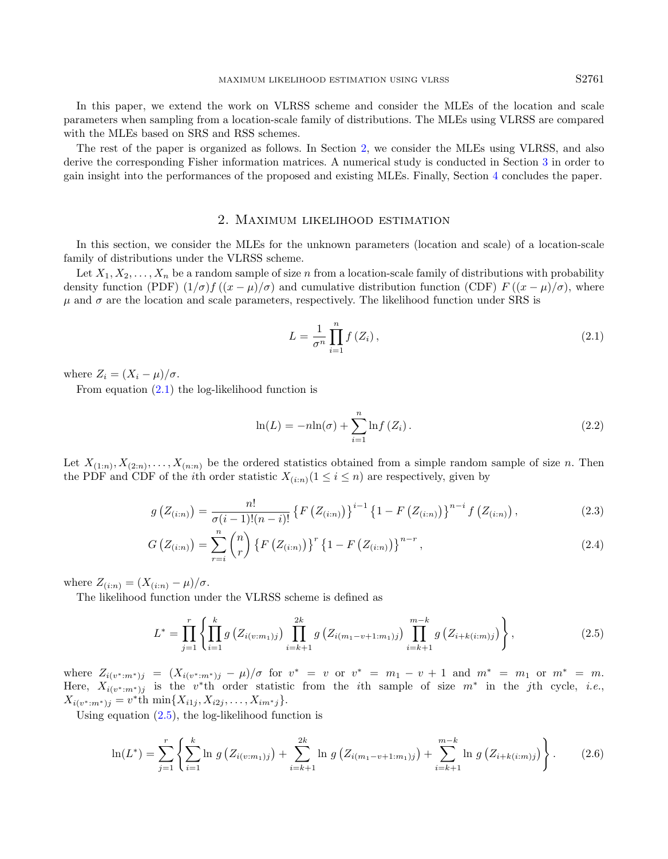In this paper, we extend the work on VLRSS scheme and consider the MLEs of the location and scale parameters when sampling from a location-scale family of distributions. The MLEs using VLRSS are compared with the MLEs based on SRS and RSS schemes.

The rest of the paper is organized as follows. In Section [2,](#page-2-0) we consider the MLEs using VLRSS, and also derive the corresponding Fisher information matrices. A numerical study is conducted in Section [3](#page-9-0) in order to gain insight into the performances of the proposed and existing MLEs. Finally, Section [4](#page-11-15) concludes the paper.

#### 2. Maximum likelihood estimation

<span id="page-2-0"></span>In this section, we consider the MLEs for the unknown parameters (location and scale) of a location-scale family of distributions under the VLRSS scheme.

Let  $X_1, X_2, \ldots, X_n$  be a random sample of size n from a location-scale family of distributions with probability density function (PDF)  $(1/\sigma) f ((x - \mu)/\sigma)$  and cumulative distribution function (CDF)  $F ((x - \mu)/\sigma)$ , where  $\mu$  and  $\sigma$  are the location and scale parameters, respectively. The likelihood function under SRS is

<span id="page-2-1"></span>
$$
L = \frac{1}{\sigma^n} \prod_{i=1}^n f(Z_i), \qquad (2.1)
$$

where  $Z_i = (X_i - \mu)/\sigma$ .

From equation [\(2.1\)](#page-2-1) the log-likelihood function is

$$
\ln(L) = -n\ln(\sigma) + \sum_{i=1}^{n} \ln f(Z_i). \tag{2.2}
$$

Let  $X_{(1:n)}, X_{(2:n)}, \ldots, X_{(n:n)}$  be the ordered statistics obtained from a simple random sample of size n. Then the PDF and CDF of the *i*th order statistic  $X_{(i:n)}(1 \leq i \leq n)$  are respectively, given by

<span id="page-2-3"></span>
$$
g\left(Z_{(i:n)}\right) = \frac{n!}{\sigma(i-1)!(n-i)!} \left\{ F\left(Z_{(i:n)}\right) \right\}^{i-1} \left\{ 1 - F\left(Z_{(i:n)}\right) \right\}^{n-i} f\left(Z_{(i:n)}\right),\tag{2.3}
$$

$$
G\left(Z_{(i:n)}\right) = \sum_{r=i}^{n} {n \choose r} \left\{ F\left(Z_{(i:n)}\right) \right\}^{r} \left\{ 1 - F\left(Z_{(i:n)}\right) \right\}^{n-r},\tag{2.4}
$$

where  $Z_{(i:n)} = (X_{(i:n)} - \mu)/\sigma$ .

The likelihood function under the VLRSS scheme is defined as

<span id="page-2-2"></span>
$$
L^* = \prod_{j=1}^r \left\{ \prod_{i=1}^k g\left(Z_{i(v:m_1)j}\right) \prod_{i=k+1}^{2k} g\left(Z_{i(m_1-v+1:m_1)j}\right) \prod_{i=k+1}^{m-k} g\left(Z_{i+k(i:m)j}\right) \right\},\tag{2.5}
$$

where  $Z_{i(v^*:m^*)j} = (X_{i(v^*:m^*)j} - \mu)/\sigma$  for  $v^* = v$  or  $v^* = m_1 - v + 1$  and  $m^* = m_1$  or  $m^* = m$ . Here,  $X_{i(v^*,m^*)j}$  is the v<sup>\*</sup>th order statistic from the *i*th sample of size  $m^*$  in the *j*th cycle, *i.e.*,  $X_{i(v^* : m^*)j} = v^*$ th min $\{X_{i1j}, X_{i2j}, \ldots, X_{im^*j}\}.$ 

Using equation  $(2.5)$ , the log-likelihood function is

<span id="page-2-4"></span>
$$
\ln(L^*) = \sum_{j=1}^r \left\{ \sum_{i=1}^k \ln g \left( Z_{i(v:m_1)j} \right) + \sum_{i=k+1}^{2k} \ln g \left( Z_{i(m_1-v+1:m_1)j} \right) + \sum_{i=k+1}^{m-k} \ln g \left( Z_{i+k(i:m)j} \right) \right\}.
$$
 (2.6)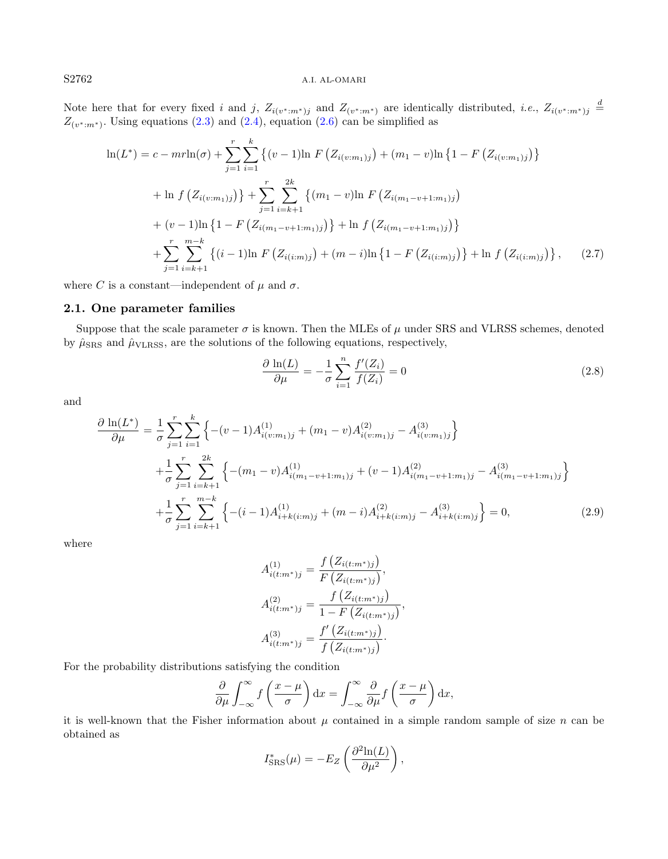## S2762 A.I. AL-OMARI

Note here that for every fixed i and j,  $Z_{i(v^* : m^*)j}$  and  $Z_{(v^* : m^*)}$  are identically distributed, i.e.,  $Z_{i(v^* : m^*)j} \stackrel{d}{=}$  $Z_{(v^* : m^*)}$ . Using equations [\(2.3\)](#page-2-3) and [\(2.4\)](#page-2-3), equation [\(2.6\)](#page-2-4) can be simplified as

$$
\ln(L^*) = c - mr \ln(\sigma) + \sum_{j=1}^r \sum_{i=1}^k \left\{ (v-1) \ln F \left( Z_{i(v:m_1)j} \right) + (m_1 - v) \ln \left\{ 1 - F \left( Z_{i(v:m_1)j} \right) \right\} \right\}
$$
  
+ 
$$
\ln f \left( Z_{i(v:m_1)j} \right) \right\} + \sum_{j=1}^r \sum_{i=k+1}^{2k} \left\{ (m_1 - v) \ln F \left( Z_{i(m_1 - v + 1:m_1)j} \right) \right\}
$$
  
+ 
$$
(v-1) \ln \left\{ 1 - F \left( Z_{i(m_1 - v + 1:m_1)j} \right) \right\} + \ln f \left( Z_{i(m_1 - v + 1:m_1)j} \right) \right\}
$$
  
+ 
$$
\sum_{j=1}^r \sum_{i=k+1}^{m-k} \left\{ (i-1) \ln F \left( Z_{i(i:m)j} \right) + (m-i) \ln \left\{ 1 - F \left( Z_{i(i:m)j} \right) \right\} + \ln f \left( Z_{i(i:m)j} \right) \right\}, \qquad (2.7)
$$

where C is a constant—independent of  $\mu$  and  $\sigma$ .

## 2.1. One parameter families

Suppose that the scale parameter  $\sigma$  is known. Then the MLEs of  $\mu$  under SRS and VLRSS schemes, denoted by  $\hat{\mu}_{SRS}$  and  $\hat{\mu}_{VLRSS}$ , are the solutions of the following equations, respectively,

<span id="page-3-0"></span>
$$
\frac{\partial \ln(L)}{\partial \mu} = -\frac{1}{\sigma} \sum_{i=1}^{n} \frac{f'(Z_i)}{f(Z_i)} = 0
$$
\n(2.8)

and

<span id="page-3-1"></span>
$$
\frac{\partial \ln(L^{*})}{\partial \mu} = \frac{1}{\sigma} \sum_{j=1}^{r} \sum_{i=1}^{k} \left\{ -(v-1)A_{i(v:m_1)j}^{(1)} + (m_1 - v)A_{i(v:m_1)j}^{(2)} - A_{i(v:m_1)j}^{(3)} \right\} \n+ \frac{1}{\sigma} \sum_{j=1}^{r} \sum_{i=k+1}^{2k} \left\{ -(m_1 - v)A_{i(m_1 - v+1:m_1)j}^{(1)} + (v-1)A_{i(m_1 - v+1:m_1)j}^{(2)} - A_{i(m_1 - v+1:m_1)j}^{(3)} \right\} \n+ \frac{1}{\sigma} \sum_{j=1}^{r} \sum_{i=k+1}^{m-k} \left\{ -(i-1)A_{i+k(i:m)j}^{(1)} + (m-i)A_{i+k(i:m)j}^{(2)} - A_{i+k(i:m)j}^{(3)} \right\} = 0,
$$
\n(2.9)

where

$$
A_{i(t:m^*)j}^{(1)} = \frac{f(Z_{i(t:m^*)j})}{F(Z_{i(t:m^*)j})},
$$

$$
A_{i(t:m^*)j}^{(2)} = \frac{f(Z_{i(t:m^*)j})}{1 - F(Z_{i(t:m^*)j})},
$$

$$
A_{i(t:m^*)j}^{(3)} = \frac{f'(Z_{i(t:m^*)j})}{f(Z_{i(t:m^*)j})}.
$$

For the probability distributions satisfying the condition

$$
\frac{\partial}{\partial \mu} \int_{-\infty}^{\infty} f\left(\frac{x-\mu}{\sigma}\right) dx = \int_{-\infty}^{\infty} \frac{\partial}{\partial \mu} f\left(\frac{x-\mu}{\sigma}\right) dx,
$$

it is well-known that the Fisher information about  $\mu$  contained in a simple random sample of size  $n$  can be obtained as

$$
I_{\text{SRS}}^*(\mu) = -E_Z \left( \frac{\partial^2 \ln(L)}{\partial \mu^2} \right),
$$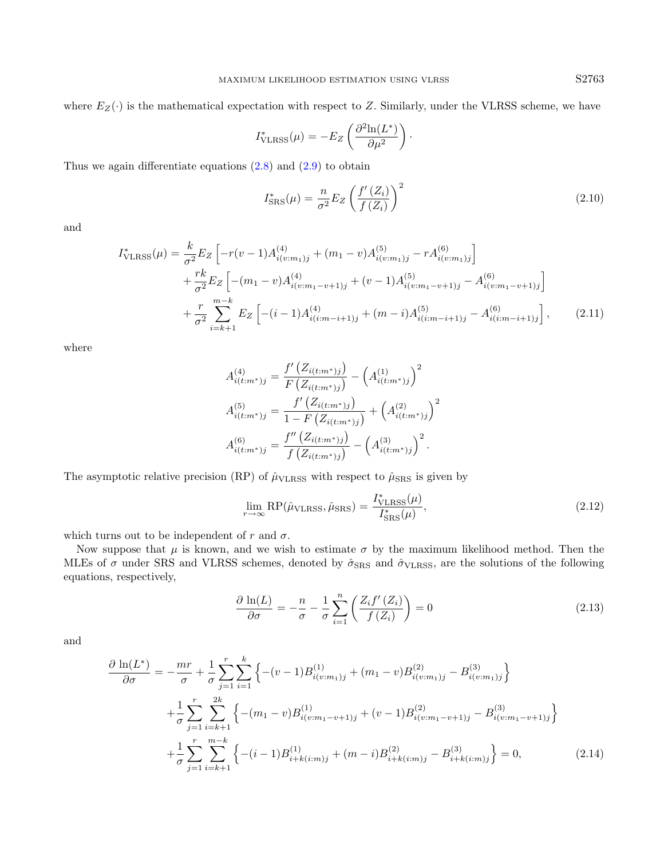where  $E_Z(\cdot)$  is the mathematical expectation with respect to Z. Similarly, under the VLRSS scheme, we have

$$
I_{\text{VLRSS}}^*(\mu) = -E_Z \left( \frac{\partial^2 \ln(L^*)}{\partial \mu^2} \right).
$$

Thus we again differentiate equations  $(2.8)$  and  $(2.9)$  to obtain

$$
I_{\text{SRS}}^*(\mu) = \frac{n}{\sigma^2} E_Z \left( \frac{f'(Z_i)}{f(Z_i)} \right)^2 \tag{2.10}
$$

and

$$
I_{\text{VLRSS}}^{*}(\mu) = \frac{k}{\sigma^2} E_Z \left[ -r(v-1) A_{i(v:m_1)j}^{(4)} + (m_1 - v) A_{i(v:m_1)j}^{(5)} - r A_{i(v:m_1)j}^{(6)} \right] + \frac{rk}{\sigma^2} E_Z \left[ -(m_1 - v) A_{i(v:m_1 - v+1)j}^{(4)} + (v-1) A_{i(v:m_1 - v+1)j}^{(5)} - A_{i(v:m_1 - v+1)j}^{(6)} \right] + \frac{r}{\sigma^2} \sum_{i=k+1}^{m-k} E_Z \left[ -(i-1) A_{i(i:m-i+1)j}^{(4)} + (m-i) A_{i(i:m-i+1)j}^{(5)} - A_{i(i:m-i+1)j}^{(6)} \right], \tag{2.11}
$$

where

$$
A_{i(t:m^*)j}^{(4)} = \frac{f'\left(Z_{i(t:m^*)j}\right)}{F\left(Z_{i(t:m^*)j}\right)} - \left(A_{i(t:m^*)j}^{(1)}\right)^2
$$

$$
A_{i(t:m^*)j}^{(5)} = \frac{f'\left(Z_{i(t:m^*)j}\right)}{1 - F\left(Z_{i(t:m^*)j}\right)} + \left(A_{i(t:m^*)j}^{(2)}\right)^2
$$

$$
A_{i(t:m^*)j}^{(6)} = \frac{f''\left(Z_{i(t:m^*)j}\right)}{f\left(Z_{i(t:m^*)j}\right)} - \left(A_{i(t:m^*)j}^{(3)}\right)^2.
$$

The asymptotic relative precision (RP) of  $\hat{\mu}_{\text{VLRSS}}$  with respect to  $\hat{\mu}_{\text{SRS}}$  is given by

$$
\lim_{r \to \infty} \text{RP}(\hat{\mu}_{\text{VLRSS}}, \hat{\mu}_{\text{SRS}}) = \frac{I_{\text{VLRSS}}^*(\mu)}{I_{\text{SRS}}^*(\mu)},\tag{2.12}
$$

which turns out to be independent of r and  $\sigma$ .

Now suppose that  $\mu$  is known, and we wish to estimate  $\sigma$  by the maximum likelihood method. Then the MLEs of  $\sigma$  under SRS and VLRSS schemes, denoted by  $\hat{\sigma}_{SRS}$  and  $\hat{\sigma}_{VLRSS}$ , are the solutions of the following equations, respectively,

<span id="page-4-0"></span>
$$
\frac{\partial \ln(L)}{\partial \sigma} = -\frac{n}{\sigma} - \frac{1}{\sigma} \sum_{i=1}^{n} \left( \frac{Z_i f'(Z_i)}{f(Z_i)} \right) = 0 \tag{2.13}
$$

and

<span id="page-4-1"></span>
$$
\frac{\partial \ln(L^{*})}{\partial \sigma} = -\frac{mr}{\sigma} + \frac{1}{\sigma} \sum_{j=1}^{r} \sum_{i=1}^{k} \left\{ -(v-1)B_{i(v:m_1)j}^{(1)} + (m_1 - v)B_{i(v:m_1)j}^{(2)} - B_{i(v:m_1)j}^{(3)} \right\} \n+ \frac{1}{\sigma} \sum_{j=1}^{r} \sum_{i=k+1}^{2k} \left\{ -(m_1 - v)B_{i(v:m_1-v+1)j}^{(1)} + (v-1)B_{i(v:m_1-v+1)j}^{(2)} - B_{i(v:m_1-v+1)j}^{(3)} \right\} \n+ \frac{1}{\sigma} \sum_{j=1}^{r} \sum_{i=k+1}^{m-k} \left\{ -(i-1)B_{i+k(i:m)j}^{(1)} + (m-i)B_{i+k(i:m)j}^{(2)} - B_{i+k(i:m)j}^{(3)} \right\} = 0,
$$
\n(2.14)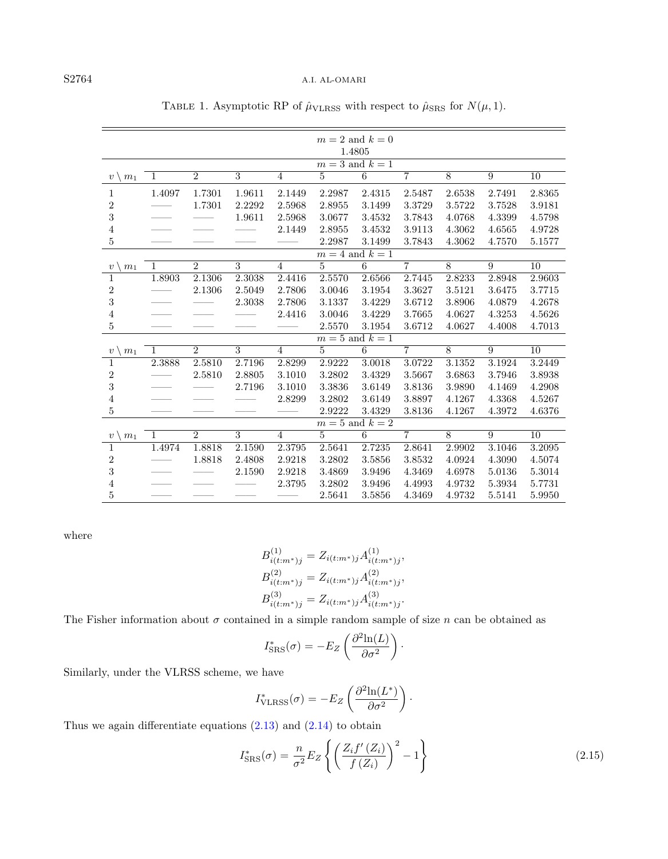|                              | $m=2$ and $k=0$<br>1.4805 |                |                |                |                |                 |                |                |                |                 |  |
|------------------------------|---------------------------|----------------|----------------|----------------|----------------|-----------------|----------------|----------------|----------------|-----------------|--|
|                              | $m=3$ and $k=1$           |                |                |                |                |                 |                |                |                |                 |  |
| $v \setminus m_1$            | -1                        | $\overline{2}$ | $\overline{3}$ | $\overline{4}$ | 5              | $\overline{6}$  | $\overline{7}$ | $\overline{8}$ | $\overline{9}$ | 10              |  |
|                              |                           |                |                |                |                |                 |                |                |                |                 |  |
| $\mathbf{1}$                 | 1.4097                    | 1.7301         | 1.9611         | 2.1449         | 2.2987         | 2.4315          | 2.5487         | 2.6538         | 2.7491         | 2.8365          |  |
| $\overline{2}$               |                           | 1.7301         | 2.2292         | 2.5968         | 2.8955         | 3.1499          | 3.3729         | 3.5722         | 3.7528         | 3.9181          |  |
| 3                            |                           |                | 1.9611         | 2.5968         | 3.0677         | 3.4532          | 3.7843         | 4.0768         | 4.3399         | 4.5798          |  |
| $\overline{\mathbf{4}}$      |                           |                |                | 2.1449         | 2.8955         | 3.4532          | 3.9113         | 4.3062         | 4.6565         | 4.9728          |  |
| $\mathbf 5$                  |                           |                |                |                | 2.2987         | 3.1499          | 3.7843         | 4.3062         | 4.7570         | 5.1577          |  |
|                              | $m = 4$ and $k = 1$       |                |                |                |                |                 |                |                |                |                 |  |
| m <sub>1</sub><br>$\upsilon$ | $\mathbf{1}$              | $\overline{2}$ | $\overline{3}$ | $\overline{4}$ | $\overline{5}$ | $\overline{6}$  | $\overline{7}$ | $\overline{8}$ | 9              | $\overline{10}$ |  |
| 1                            | 1.8903                    | 2.1306         | 2.3038         | 2.4416         | 2.5570         | 2.6566          | 2.7445         | 2.8233         | 2.8948         | 2.9603          |  |
| $\overline{\mathbf{c}}$      |                           | 2.1306         | 2.5049         | 2.7806         | 3.0046         | 3.1954          | 3.3627         | 3.5121         | 3.6475         | 3.7715          |  |
| 3                            |                           |                | 2.3038         | 2.7806         | 3.1337         | 3.4229          | 3.6712         | 3.8906         | 4.0879         | 4.2678          |  |
| $\overline{4}$               |                           |                |                | 2.4416         | 3.0046         | 3.4229          | 3.7665         | 4.0627         | 4.3253         | 4.5626          |  |
| 5                            |                           |                |                |                | 2.5570         | 3.1954          | 3.6712         | 4.0627         | 4.4008         | 4.7013          |  |
|                              |                           |                |                |                |                | $m=5$ and $k=1$ |                |                |                |                 |  |
| $\upsilon$<br>m <sub>1</sub> | 1                         | $\overline{2}$ | 3              | $\overline{4}$ | 5              | 6               | $\overline{7}$ | 8              | 9              | 10              |  |
| 1                            | 2.3888                    | 2.5810         | 2.7196         | 2.8299         | 2.9222         | 3.0018          | 3.0722         | 3.1352         | 3.1924         | 3.2449          |  |
| $\overline{\mathbf{c}}$      |                           | 2.5810         | 2.8805         | 3.1010         | 3.2802         | 3.4329          | 3.5667         | 3.6863         | 3.7946         | 3.8938          |  |
| 3                            |                           |                | 2.7196         | 3.1010         | 3.3836         | 3.6149          | 3.8136         | 3.9890         | 4.1469         | 4.2908          |  |
| $\overline{4}$               |                           |                |                | 2.8299         | 3.2802         | 3.6149          | 3.8897         | 4.1267         | 4.3368         | 4.5267          |  |
| 5                            |                           |                |                |                | 2.9222         | 3.4329          | 3.8136         | 4.1267         | 4.3972         | 4.6376          |  |
|                              |                           |                |                |                |                | $m=5$ and $k=2$ |                |                |                |                 |  |
| $\upsilon$<br>m <sub>1</sub> | $\mathbf{1}$              | $\overline{2}$ | 3              | $\overline{4}$ | $\overline{5}$ | 6               | $\overline{7}$ | 8              | 9              | 10              |  |
| $\mathbf{1}$                 | 1.4974                    | 1.8818         | 2.1590         | 2.3795         | 2.5641         | 2.7235          | 2.8641         | 2.9902         | 3.1046         | 3.2095          |  |
| $\overline{2}$               |                           | 1.8818         | 2.4808         | 2.9218         | 3.2802         | 3.5856          | 3.8532         | 4.0924         | 4.3090         | 4.5074          |  |
| 3                            |                           |                | 2.1590         | 2.9218         | 3.4869         | 3.9496          | 4.3469         | 4.6978         | 5.0136         | 5.3014          |  |
| $\overline{4}$               |                           |                |                | 2.3795         | 3.2802         | 3.9496          | 4.4993         | 4.9732         | 5.3934         | 5.7731          |  |
| $\mathbf 5$                  |                           |                |                |                | 2.5641         | 3.5856          | 4.3469         | 4.9732         | 5.5141         | 5.9950          |  |
|                              |                           |                |                |                |                |                 |                |                |                |                 |  |

<span id="page-5-0"></span>TABLE 1. Asymptotic RP of  $\hat{\mu}_{\text{VLRSS}}$  with respect to  $\hat{\mu}_{\text{SRS}}$  for  $N(\mu, 1)$ .

where

$$
B_{i(t:m^*)j}^{(1)} = Z_{i(t:m^*)j} A_{i(t:m^*)j}^{(1)},
$$
  
\n
$$
B_{i(t:m^*)j}^{(2)} = Z_{i(t:m^*)j} A_{i(t:m^*)j}^{(2)},
$$
  
\n
$$
B_{i(t:m^*)j}^{(3)} = Z_{i(t:m^*)j} A_{i(t:m^*)j}^{(3)}.
$$

The Fisher information about  $\sigma$  contained in a simple random sample of size n can be obtained as

$$
I_{\text{SRS}}^{*}(\sigma) = -E_Z \left( \frac{\partial^2 \ln(L)}{\partial \sigma^2} \right).
$$

Similarly, under the VLRSS scheme, we have

$$
I_{\text{VLRSS}}^*(\sigma) = -E_Z \left( \frac{\partial^2 \ln(L^*)}{\partial \sigma^2} \right).
$$

Thus we again differentiate equations  $(2.13)$  and  $(2.14)$  to obtain

$$
I_{\rm SRS}^*(\sigma) = \frac{n}{\sigma^2} E_Z \left\{ \left( \frac{Z_i f'(Z_i)}{f(Z_i)} \right)^2 - 1 \right\} \tag{2.15}
$$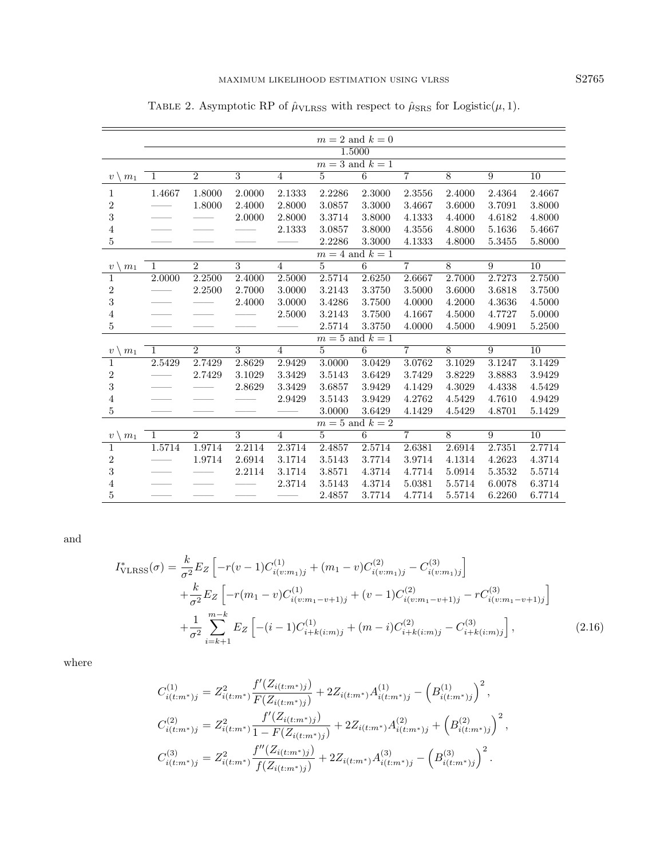|                                                 | $m=2$ and $k=0$     |                |                |                |                 |                 |                |                |                |                 |  |
|-------------------------------------------------|---------------------|----------------|----------------|----------------|-----------------|-----------------|----------------|----------------|----------------|-----------------|--|
|                                                 | 1.5000              |                |                |                |                 |                 |                |                |                |                 |  |
|                                                 | $m=3$ and $k=1$     |                |                |                |                 |                 |                |                |                |                 |  |
| $v \setminus m_1$                               | $\mathbf{1}$        | $\overline{2}$ | $\overline{3}$ | $\overline{4}$ | $\overline{5}$  | $\overline{6}$  | $\overline{7}$ | $\overline{8}$ | $\overline{9}$ | 10              |  |
| 1                                               | 1.4667              | 1.8000         | 2.0000         | 2.1333         | 2.2286          | 2.3000          | 2.3556         | 2.4000         | 2.4364         | 2.4667          |  |
| $\boldsymbol{2}$                                |                     | 1.8000         | 2.4000         | 2.8000         | 3.0857          | 3.3000          | 3.4667         | 3.6000         | 3.7091         | 3.8000          |  |
| 3                                               |                     |                | 2.0000         | 2.8000         | 3.3714          | 3.8000          | 4.1333         | 4.4000         | 4.6182         | 4.8000          |  |
| 4                                               |                     |                |                | 2.1333         | 3.0857          | 3.8000          | 4.3556         | 4.8000         | 5.1636         | 5.4667          |  |
| 5                                               |                     |                |                |                | 2.2286          | 3.3000          | 4.1333         | 4.8000         | 5.3455         | 5.8000          |  |
|                                                 | $m = 4$ and $k = 1$ |                |                |                |                 |                 |                |                |                |                 |  |
| $\sqrt{m_1}$<br>$\upsilon$                      | $\mathbf{1}$        | $\overline{2}$ | $\overline{3}$ | $\overline{4}$ | $\overline{5}$  | $\overline{6}$  | $\overline{7}$ | $\overline{8}$ | 9              | $\overline{10}$ |  |
| $\mathbf 1$                                     | 2.0000              | 2.2500         | 2.4000         | 2.5000         | 2.5714          | 2.6250          | 2.6667         | 2.7000         | 2.7273         | 2.7500          |  |
| $\boldsymbol{2}$                                |                     | 2.2500         | 2.7000         | 3.0000         | 3.2143          | 3.3750          | 3.5000         | 3.6000         | 3.6818         | 3.7500          |  |
| 3                                               |                     |                | 2.4000         | 3.0000         | 3.4286          | 3.7500          | 4.0000         | 4.2000         | 4.3636         | 4.5000          |  |
| $\overline{4}$                                  |                     |                |                | 2.5000         | 3.2143          | 3.7500          | 4.1667         | 4.5000         | 4.7727         | 5.0000          |  |
| 5                                               |                     |                |                |                | 2.5714          | 3.3750          | 4.0000         | 4.5000         | 4.9091         | 5.2500          |  |
|                                                 |                     |                |                |                | $m=5$ and $k=1$ |                 |                |                |                |                 |  |
| m <sub>1</sub><br>$v^{\scriptscriptstyle \top}$ | 1                   | $\overline{2}$ | 3              | $\overline{4}$ | 5               | 6               | $\overline{7}$ | 8              | 9              | 10              |  |
| $\mathbf{1}$                                    | 2.5429              | 2.7429         | 2.8629         | 2.9429         | 3.0000          | 3.0429          | 3.0762         | 3.1029         | 3.1247         | 3.1429          |  |
| $\boldsymbol{2}$                                |                     | 2.7429         | 3.1029         | 3.3429         | 3.5143          | 3.6429          | 3.7429         | 3.8229         | 3.8883         | 3.9429          |  |
| 3                                               |                     |                | 2.8629         | 3.3429         | 3.6857          | 3.9429          | 4.1429         | 4.3029         | 4.4338         | 4.5429          |  |
| $\overline{4}$                                  |                     |                |                | 2.9429         | 3.5143          | 3.9429          | 4.2762         | 4.5429         | 4.7610         | 4.9429          |  |
| 5                                               |                     |                |                |                | 3.0000          | 3.6429          | 4.1429         | 4.5429         | 4.8701         | 5.1429          |  |
|                                                 |                     |                |                |                | $m=5$ and $k=2$ |                 |                |                |                |                 |  |
| $v \setminus$<br>m <sub>1</sub>                 | $\mathbf{1}$        | $\overline{2}$ | 3              | $\overline{4}$ | 5               | $6\overline{6}$ | $\overline{7}$ | 8              | 9              | 10              |  |
| $\mathbf{1}$                                    | 1.5714              | 1.9714         | 2.2114         | 2.3714         | 2.4857          | 2.5714          | 2.6381         | 2.6914         | 2.7351         | 2.7714          |  |
| $\sqrt{2}$                                      |                     | 1.9714         | 2.6914         | 3.1714         | 3.5143          | 3.7714          | 3.9714         | 4.1314         | 4.2623         | 4.3714          |  |
| 3                                               |                     |                | 2.2114         | 3.1714         | 3.8571          | 4.3714          | 4.7714         | 5.0914         | 5.3532         | 5.5714          |  |
| 4                                               |                     |                |                | 2.3714         | 3.5143          | 4.3714          | 5.0381         | 5.5714         | 6.0078         | 6.3714          |  |
| 5                                               |                     |                |                |                | 2.4857          | 3.7714          | 4.7714         | 5.5714         | 6.2260         | 6.7714          |  |

<span id="page-6-0"></span>TABLE 2. Asymptotic RP of  $\hat{\mu}_{\text{VLRSS}}$  with respect to  $\hat{\mu}_{\text{SRS}}$  for Logistic( $\mu$ , 1).

and

$$
I_{\text{VLRSS}}^{*}(\sigma) = \frac{k}{\sigma^2} E_Z \left[ -r(v-1)C_{i(v:m_1)j}^{(1)} + (m_1 - v)C_{i(v:m_1)j}^{(2)} - C_{i(v:m_1)j}^{(3)} \right] + \frac{k}{\sigma^2} E_Z \left[ -r(m_1 - v)C_{i(v:m_1-v+1)j}^{(1)} + (v-1)C_{i(v:m_1-v+1)j}^{(2)} - rC_{i(v:m_1-v+1)j}^{(3)} \right] + \frac{1}{\sigma^2} \sum_{i=k+1}^{m-k} E_Z \left[ -(i-1)C_{i+k(i:m)j}^{(1)} + (m-i)C_{i+k(i:m)j}^{(2)} - C_{i+k(i:m)j}^{(3)} \right],
$$
(2.16)

where

$$
C_{i(t:m^*)j}^{(1)} = Z_{i(t:m^*)}^2 \frac{f'(Z_{i(t:m^*)j})}{F(Z_{i(t:m^*)j})} + 2Z_{i(t:m^*)} A_{i(t:m^*)j}^{(1)} - (B_{i(t:m^*)j}^{(1)})^2,
$$
  
\n
$$
C_{i(t:m^*)j}^{(2)} = Z_{i(t:m^*)}^2 \frac{f'(Z_{i(t:m^*)j})}{1 - F(Z_{i(t:m^*)j})} + 2Z_{i(t:m^*)} A_{i(t:m^*)j}^{(2)} + (B_{i(t:m^*)j}^{(2)})^2,
$$
  
\n
$$
C_{i(t:m^*)j}^{(3)} = Z_{i(t:m^*)}^2 \frac{f''(Z_{i(t:m^*)j})}{f(Z_{i(t:m^*)j})} + 2Z_{i(t:m^*)} A_{i(t:m^*)j}^{(3)} - (B_{i(t:m^*)j}^{(3)})^2.
$$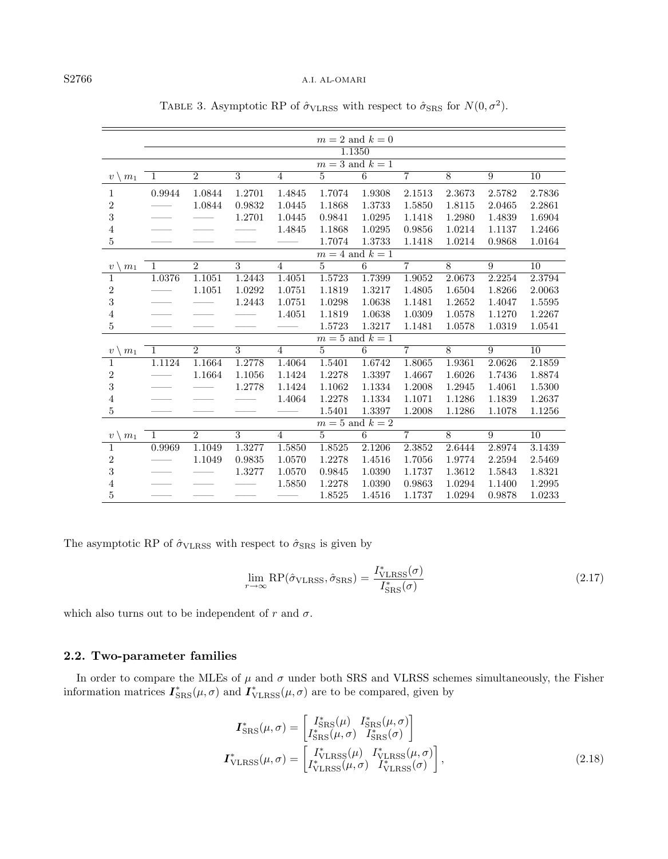## S2766 A.I. AL-OMARI

|                                    | $m=2$ and $k=0$     |                |                |                |                |                 |                |                |                |                 |  |
|------------------------------------|---------------------|----------------|----------------|----------------|----------------|-----------------|----------------|----------------|----------------|-----------------|--|
|                                    | 1.1350              |                |                |                |                |                 |                |                |                |                 |  |
|                                    | $m=3$ and $k=1$     |                |                |                |                |                 |                |                |                |                 |  |
| $v \setminus m_1$                  | 1                   | $\overline{2}$ | $\overline{3}$ | 4              | $\overline{5}$ | $\overline{6}$  | $\overline{7}$ | $\overline{8}$ | $\overline{9}$ | $\overline{10}$ |  |
| $\mathbf 1$                        | 0.9944              | 1.0844         | 1.2701         | 1.4845         | 1.7074         | 1.9308          | 2.1513         | 2.3673         | 2.5782         | 2.7836          |  |
| $\overline{\mathbf{c}}$            |                     | 1.0844         | 0.9832         | 1.0445         | 1.1868         | 1.3733          | 1.5850         | 1.8115         | 2.0465         | 2.2861          |  |
| 3                                  |                     |                | 1.2701         | 1.0445         | 0.9841         | 1.0295          | 1.1418         | 1.2980         | 1.4839         | 1.6904          |  |
| $\overline{\mathbf{4}}$            |                     |                |                | 1.4845         | 1.1868         | 1.0295          | 0.9856         | 1.0214         | 1.1137         | 1.2466          |  |
| $\overline{5}$                     |                     |                |                |                | 1.7074         | 1.3733          | 1.1418         | 1.0214         | 0.9868         | 1.0164          |  |
|                                    | $m = 4$ and $k = 1$ |                |                |                |                |                 |                |                |                |                 |  |
| m <sub>1</sub><br>$\boldsymbol{v}$ | $\mathbf{1}$        | $\overline{2}$ | $\overline{3}$ | $\overline{4}$ | $\overline{5}$ | 6               | $\overline{7}$ | $\overline{8}$ | 9              | 10              |  |
| $\mathbf{1}$                       | 1.0376              | 1.1051         | 1.2443         | 1.4051         | 1.5723         | 1.7399          | 1.9052         | 2.0673         | 2.2254         | 2.3794          |  |
| $\overline{\mathbf{c}}$            |                     | 1.1051         | 1.0292         | 1.0751         | 1.1819         | 1.3217          | 1.4805         | 1.6504         | 1.8266         | 2.0063          |  |
| 3                                  |                     |                | 1.2443         | 1.0751         | 1.0298         | 1.0638          | 1.1481         | 1.2652         | 1.4047         | 1.5595          |  |
| $\overline{4}$                     |                     |                |                | 1.4051         | 1.1819         | 1.0638          | 1.0309         | 1.0578         | 1.1270         | 1.2267          |  |
| $\overline{5}$                     |                     |                |                |                | 1.5723         | 1.3217          | 1.1481         | 1.0578         | 1.0319         | 1.0541          |  |
|                                    |                     |                |                |                |                | $m=5$ and $k=1$ |                |                |                |                 |  |
| $\upsilon$<br>m <sub>1</sub>       | 1                   | $\overline{2}$ | 3              | $\overline{4}$ | 5              | $6\overline{6}$ | $\overline{7}$ | 8              | 9              | 10              |  |
| $\mathbf 1$                        | 1.1124              | 1.1664         | 1.2778         | 1.4064         | 1.5401         | 1.6742          | 1.8065         | 1.9361         | 2.0626         | 2.1859          |  |
| $\overline{\mathbf{c}}$            |                     | 1.1664         | 1.1056         | 1.1424         | 1.2278         | 1.3397          | 1.4667         | 1.6026         | 1.7436         | 1.8874          |  |
| 3                                  |                     |                | 1.2778         | 1.1424         | 1.1062         | 1.1334          | 1.2008         | 1.2945         | 1.4061         | 1.5300          |  |
| $\overline{4}$                     |                     |                |                | 1.4064         | 1.2278         | 1.1334          | 1.1071         | 1.1286         | 1.1839         | 1.2637          |  |
| $\overline{5}$                     |                     |                |                |                | 1.5401         | 1.3397          | 1.2008         | 1.1286         | 1.1078         | 1.1256          |  |
|                                    |                     |                |                |                |                | $m=5$ and $k=2$ |                |                |                |                 |  |
| m <sub>1</sub><br>$\boldsymbol{v}$ | 1                   | $\overline{2}$ | 3              | $\overline{4}$ | 5              | 6               | $\overline{7}$ | 8              | 9              | 10              |  |
| 1                                  | 0.9969              | 1.1049         | 1.3277         | 1.5850         | 1.8525         | 2.1206          | 2.3852         | 2.6444         | 2.8974         | 3.1439          |  |
| $\overline{\mathbf{c}}$            |                     | 1.1049         | 0.9835         | 1.0570         | 1.2278         | 1.4516          | 1.7056         | 1.9774         | 2.2594         | 2.5469          |  |
| 3                                  |                     |                | 1.3277         | 1.0570         | 0.9845         | 1.0390          | 1.1737         | 1.3612         | 1.5843         | 1.8321          |  |
| $\overline{4}$                     |                     |                |                | 1.5850         | 1.2278         | 1.0390          | 0.9863         | 1.0294         | 1.1400         | 1.2995          |  |
| $\overline{5}$                     |                     |                |                |                | 1.8525         | 1.4516          | 1.1737         | 1.0294         | 0.9878         | 1.0233          |  |
|                                    |                     |                |                |                |                |                 |                |                |                |                 |  |

<span id="page-7-0"></span>TABLE 3. Asymptotic RP of  $\hat{\sigma}_{\text{VLRSS}}$  with respect to  $\hat{\sigma}_{\text{SRS}}$  for  $N(0, \sigma^2)$ .

The asymptotic RP of  $\hat{\sigma}_{\text{VLRSS}}$  with respect to  $\hat{\sigma}_{\text{SRS}}$  is given by

$$
\lim_{r \to \infty} \text{RP}(\hat{\sigma}_{\text{VLRSS}}, \hat{\sigma}_{\text{SRS}}) = \frac{I_{\text{VLRSS}}^*(\sigma)}{I_{\text{SRS}}^*(\sigma)}\tag{2.17}
$$

which also turns out to be independent of r and  $\sigma$ .

## 2.2. Two-parameter families

In order to compare the MLEs of  $\mu$  and  $\sigma$  under both SRS and VLRSS schemes simultaneously, the Fisher information matrices  $I_{\rm SRS}^*(\mu, \sigma)$  and  $I_{\rm VLRSS}^*(\mu, \sigma)$  are to be compared, given by

$$
\boldsymbol{I}_{\text{SRS}}^{*}(\mu,\sigma) = \begin{bmatrix} I_{\text{SRS}}^{*}(\mu) & I_{\text{SRS}}^{*}(\mu,\sigma) \\ I_{\text{SRS}}^{*}(\mu,\sigma) & I_{\text{SRS}}^{*}(\sigma) \end{bmatrix}
$$
\n
$$
\boldsymbol{I}_{\text{VLRSS}}^{*}(\mu,\sigma) = \begin{bmatrix} I_{\text{VLRSS}}^{*}(\mu) & I_{\text{VLRSS}}^{*}(\mu,\sigma) \\ I_{\text{VLRSS}}^{*}(\mu,\sigma) & I_{\text{VLRSS}}^{*}(\sigma) \end{bmatrix},
$$
\n(2.18)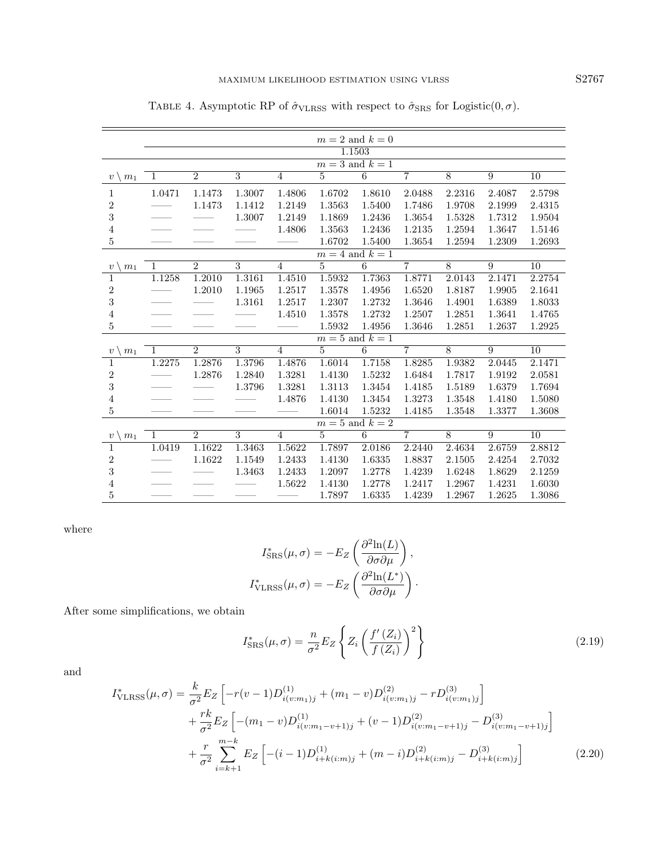|                                 | $m=2$ and $k=0$     |                |                         |                |                     |                 |                |                |        |                 |  |
|---------------------------------|---------------------|----------------|-------------------------|----------------|---------------------|-----------------|----------------|----------------|--------|-----------------|--|
|                                 | 1.1503              |                |                         |                |                     |                 |                |                |        |                 |  |
|                                 | $m=3$ and $k=1$     |                |                         |                |                     |                 |                |                |        |                 |  |
| $v \setminus$<br>m <sub>1</sub> | $\mathbf{1}$        | $\overline{2}$ | $\overline{3}$          | $\overline{4}$ | $\overline{5}$      | $\overline{6}$  | $\overline{7}$ | $\overline{8}$ | 9      | $\overline{10}$ |  |
| 1                               | 1.0471              | 1.1473         | 1.3007                  | 1.4806         | 1.6702              | 1.8610          | 2.0488         | 2.2316         | 2.4087 | 2.5798          |  |
| $\overline{2}$                  |                     | 1.1473         | 1.1412                  | 1.2149         | 1.3563              | 1.5400          | 1.7486         | 1.9708         | 2.1999 | 2.4315          |  |
| $\sqrt{3}$                      |                     |                | 1.3007                  | 1.2149         | 1.1869              | 1.2436          | 1.3654         | 1.5328         | 1.7312 | 1.9504          |  |
| 4                               |                     |                |                         | 1.4806         | 1.3563              | 1.2436          | 1.2135         | 1.2594         | 1.3647 | 1.5146          |  |
| $\overline{5}$                  |                     |                |                         |                | 1.6702              | 1.5400          | 1.3654         | 1.2594         | 1.2309 | 1.2693          |  |
|                                 | $m = 4$ and $k = 1$ |                |                         |                |                     |                 |                |                |        |                 |  |
| m <sub>1</sub><br>$\upsilon$    | $\overline{1}$      | $\overline{2}$ | $\overline{3}$          | $\overline{4}$ | $\overline{5}$      | 6               | $\overline{7}$ | $\overline{8}$ | 9      | $\overline{10}$ |  |
| $\mathbf{1}$                    | 1.1258              | 1.2010         | 1.3161                  | 1.4510         | 1.5932              | 1.7363          | 1.8771         | 2.0143         | 2.1471 | 2.2754          |  |
| $\boldsymbol{2}$                |                     | 1.2010         | 1.1965                  | 1.2517         | 1.3578              | 1.4956          | 1.6520         | 1.8187         | 1.9905 | 2.1641          |  |
| $\sqrt{3}$                      |                     |                | 1.3161                  | 1.2517         | 1.2307              | 1.2732          | 1.3646         | 1.4901         | 1.6389 | 1.8033          |  |
| 4                               |                     |                |                         | 1.4510         | 1.3578              | 1.2732          | 1.2507         | 1.2851         | 1.3641 | 1.4765          |  |
| $\overline{5}$                  |                     |                |                         |                | 1.5932              | 1.4956          | 1.3646         | 1.2851         | 1.2637 | 1.2925          |  |
|                                 |                     |                |                         |                | $m=5$ and $k=1$     |                 |                |                |        |                 |  |
| m <sub>1</sub><br>$\upsilon$    | $\mathbf{1}$        | $\overline{2}$ | $\overline{\mathbf{3}}$ | $\overline{4}$ | $\overline{5}$      | $6\overline{6}$ | $\overline{7}$ | 8              | 9      | $\overline{10}$ |  |
| $\mathbf{1}$                    | 1.2275              | 1.2876         | 1.3796                  | 1.4876         | 1.6014              | 1.7158          | 1.8285         | 1.9382         | 2.0445 | 2.1471          |  |
| $\boldsymbol{2}$                |                     | 1.2876         | 1.2840                  | 1.3281         | 1.4130              | 1.5232          | 1.6484         | 1.7817         | 1.9192 | 2.0581          |  |
| $\sqrt{3}$                      |                     |                | 1.3796                  | 1.3281         | 1.3113              | 1.3454          | 1.4185         | 1.5189         | 1.6379 | 1.7694          |  |
| 4                               |                     |                |                         | 1.4876         | 1.4130              | 1.3454          | 1.3273         | 1.3548         | 1.4180 | 1.5080          |  |
| $\bf 5$                         |                     |                |                         |                | 1.6014              | 1.5232          | 1.4185         | 1.3548         | 1.3377 | 1.3608          |  |
|                                 |                     |                |                         |                | $m = 5$ and $k = 2$ |                 |                |                |        |                 |  |
| $v \setminus$<br>m <sub>1</sub> | $\mathbf{1}$        | $\overline{2}$ | 3                       | $\overline{4}$ | 5                   | $6\overline{6}$ | $\overline{7}$ | 8              | 9      | 10              |  |
| $\mathbf{1}$                    | 1.0419              | 1.1622         | 1.3463                  | 1.5622         | 1.7897              | 2.0186          | 2.2440         | 2.4634         | 2.6759 | 2.8812          |  |
| $\,2$                           |                     | 1.1622         | 1.1549                  | 1.2433         | 1.4130              | 1.6335          | 1.8837         | 2.1505         | 2.4254 | 2.7032          |  |
| 3                               |                     |                | 1.3463                  | 1.2433         | 1.2097              | 1.2778          | 1.4239         | 1.6248         | 1.8629 | 2.1259          |  |
| 4                               |                     |                |                         | 1.5622         | 1.4130              | 1.2778          | 1.2417         | 1.2967         | 1.4231 | 1.6030          |  |
| $\bf 5$                         |                     |                |                         |                | 1.7897              | 1.6335          | 1.4239         | 1.2967         | 1.2625 | 1.3086          |  |

<span id="page-8-0"></span>TABLE 4. Asymptotic RP of  $\hat{\sigma}_{\text{VLRSS}}$  with respect to  $\hat{\sigma}_{\text{SRS}}$  for Logistic(0,  $\sigma).$ 

where

$$
I_{\text{SRS}}^*(\mu, \sigma) = -E_Z \left( \frac{\partial^2 \ln(L)}{\partial \sigma \partial \mu} \right),
$$

$$
I_{\text{VLRSS}}^*(\mu, \sigma) = -E_Z \left( \frac{\partial^2 \ln(L^*)}{\partial \sigma \partial \mu} \right).
$$

After some simplifications, we obtain

$$
I_{\rm SRS}^*(\mu, \sigma) = \frac{n}{\sigma^2} E_Z \left\{ Z_i \left( \frac{f'(Z_i)}{f(Z_i)} \right)^2 \right\} \tag{2.19}
$$

and

$$
I_{\text{VLRSS}}^{*}(\mu,\sigma) = \frac{k}{\sigma^2} E_Z \left[ -r(v-1)D_{i(v:m_1)j}^{(1)} + (m_1 - v)D_{i(v:m_1)j}^{(2)} - rD_{i(v:m_1)j}^{(3)} \right] + \frac{rk}{\sigma^2} E_Z \left[ -(m_1 - v)D_{i(v:m_1-v+1)j}^{(1)} + (v-1)D_{i(v:m_1-v+1)j}^{(2)} - D_{i(v:m_1-v+1)j}^{(3)} \right] + \frac{r}{\sigma^2} \sum_{i=k+1}^{m-k} E_Z \left[ -(i-1)D_{i+k(i:m)j}^{(1)} + (m-i)D_{i+k(i:m)j}^{(2)} - D_{i+k(i:m)j}^{(3)} \right]
$$
(2.20)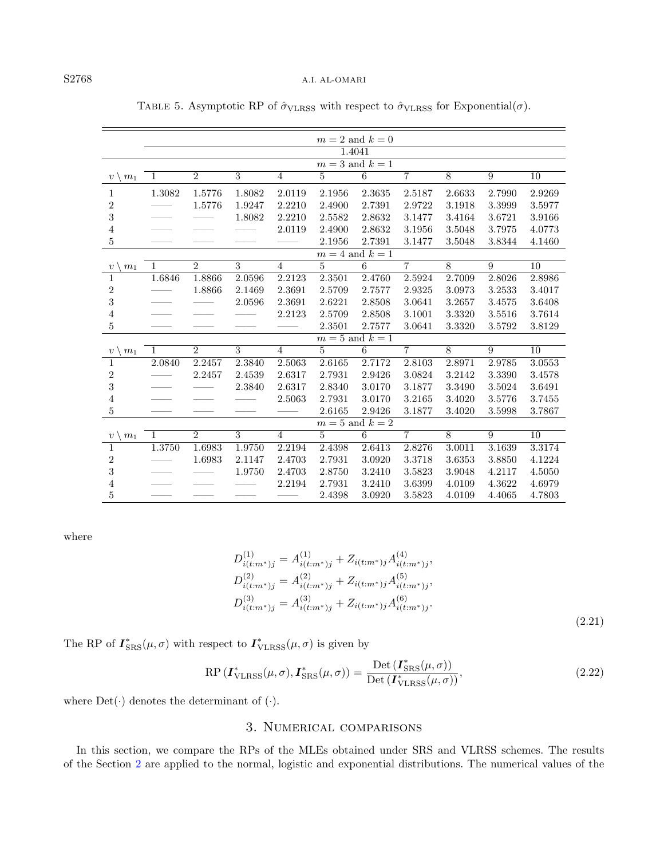| $m=2$ and $k=0$<br>1.4041<br>$m=3$ and $k=1$<br>$\overline{6}$<br>$\overline{2}$<br>$\overline{3}$<br>$\overline{7}$<br>$\overline{8}$<br>$\overline{9}$<br>$\overline{5}$<br>$\overline{10}$<br>$\overline{4}$<br>1<br>$v \setminus m_1$<br>1.3082<br>1.8082<br>2.0119<br>2.3635<br>2.7990<br>2.9269<br>1.5776<br>2.1956<br>2.5187<br>2.6633<br>1<br>$\overline{\mathbf{c}}$<br>1.5776<br>1.9247<br>2.2210<br>2.4900<br>2.7391<br>2.9722<br>3.1918<br>3.3999<br>3.5977<br>3<br>2.8632<br>1.8082<br>2.2210<br>2.5582<br>3.1477<br>3.4164<br>3.6721<br>3.9166<br>2.0119<br>$\overline{4}$<br>2.8632<br>3.1956<br>3.5048<br>3.7975<br>2.4900<br>4.0773<br>$\overline{5}$<br>2.7391<br>3.8344<br>2.1956<br>3.1477<br>3.5048<br>4.1460<br>$m=4$ and $k=1$<br>$\overline{7}$<br>$\overline{2}$<br>$\overline{3}$<br>$\overline{5}$<br>6<br>$\overline{8}$<br>$\overline{9}$<br>$\overline{10}$<br>$\overline{4}$<br>$\mathbf{1}$<br>m <sub>1</sub><br>$\upsilon$<br>1.6846<br>1.8866<br>2.0596<br>2.2123<br>2.3501<br>2.4760<br>2.5924<br>2.7009<br>2.8026<br>2.8986<br>1<br>$\overline{\mathbf{c}}$<br>2.3691<br>1.8866<br>2.1469<br>2.5709<br>2.7577<br>2.9325<br>3.0973<br>3.2533<br>3.4017<br>3<br>2.0596<br>2.3691<br>2.6221<br>2.8508<br>3.0641<br>3.2657<br>3.4575<br>3.6408<br>$\overline{4}$<br>2.2123<br>2.8508<br>3.1001<br>3.3320<br>3.5516<br>3.7614<br>2.5709<br>$\mathbf 5$<br>2.3501<br>2.7577<br>3.0641<br>3.3320<br>3.5792<br>3.8129<br>$m=5$ and $k=1$<br>$\overline{7}$<br>$\mathcal{D}_{\mathcal{L}}$<br>3<br>5<br>6<br>8<br>10<br>$\overline{4}$<br>9<br>1<br>$\upsilon$<br>m <sub>1</sub><br>2.0840<br>2.2457<br>2.3840<br>2.5063<br>2.7172<br>2.8103<br>2.9785<br>3.0553<br>2.6165<br>2.8971<br>1<br>$\overline{\mathbf{c}}$<br>2.6317<br>3.3390<br>2.2457<br>2.4539<br>2.7931<br>2.9426<br>3.0824<br>3.2142<br>3.4578<br>3<br>2.6317<br>2.3840<br>2.8340<br>3.0170<br>3.1877<br>3.3490<br>3.5024<br>3.6491<br>4<br>2.5063<br>2.7931<br>3.0170<br>3.2165<br>3.5776<br>3.7455<br>3.4020<br>$\overline{5}$<br>2.6165<br>2.9426<br>3.1877<br>3.5998<br>3.7867<br>3.4020<br>$m=5$ and $k=2$<br>3<br>$\overline{2}$<br>5<br>6<br>$\overline{7}$<br>8<br>9<br>$\overline{4}$<br>10<br>1<br>m <sub>1</sub><br>$\upsilon$<br>1.3750<br>2.6413<br>3.1639<br>$3.\overline{3174}$<br>1.6983<br>1.9750<br>2.2194<br>2.4398<br>2.8276<br>3.0011<br>1<br>$\overline{c}$<br>1.6983<br>2.1147<br>2.4703<br>2.7931<br>3.0920<br>3.3718<br>3.6353<br>3.8850<br>4.1224 |   |  |  |  |  |  |  |  |  |  |  |  |
|------------------------------------------------------------------------------------------------------------------------------------------------------------------------------------------------------------------------------------------------------------------------------------------------------------------------------------------------------------------------------------------------------------------------------------------------------------------------------------------------------------------------------------------------------------------------------------------------------------------------------------------------------------------------------------------------------------------------------------------------------------------------------------------------------------------------------------------------------------------------------------------------------------------------------------------------------------------------------------------------------------------------------------------------------------------------------------------------------------------------------------------------------------------------------------------------------------------------------------------------------------------------------------------------------------------------------------------------------------------------------------------------------------------------------------------------------------------------------------------------------------------------------------------------------------------------------------------------------------------------------------------------------------------------------------------------------------------------------------------------------------------------------------------------------------------------------------------------------------------------------------------------------------------------------------------------------------------------------------------------------------------------------------------------------------------------------------------------------------------------------------------------------------------------------------------------------------------------------------------------------------------------------------------------------------------------------------------------------------------------------------------------------------------------------------------------------------------------|---|--|--|--|--|--|--|--|--|--|--|--|
|                                                                                                                                                                                                                                                                                                                                                                                                                                                                                                                                                                                                                                                                                                                                                                                                                                                                                                                                                                                                                                                                                                                                                                                                                                                                                                                                                                                                                                                                                                                                                                                                                                                                                                                                                                                                                                                                                                                                                                                                                                                                                                                                                                                                                                                                                                                                                                                                                                                                        |   |  |  |  |  |  |  |  |  |  |  |  |
|                                                                                                                                                                                                                                                                                                                                                                                                                                                                                                                                                                                                                                                                                                                                                                                                                                                                                                                                                                                                                                                                                                                                                                                                                                                                                                                                                                                                                                                                                                                                                                                                                                                                                                                                                                                                                                                                                                                                                                                                                                                                                                                                                                                                                                                                                                                                                                                                                                                                        |   |  |  |  |  |  |  |  |  |  |  |  |
|                                                                                                                                                                                                                                                                                                                                                                                                                                                                                                                                                                                                                                                                                                                                                                                                                                                                                                                                                                                                                                                                                                                                                                                                                                                                                                                                                                                                                                                                                                                                                                                                                                                                                                                                                                                                                                                                                                                                                                                                                                                                                                                                                                                                                                                                                                                                                                                                                                                                        |   |  |  |  |  |  |  |  |  |  |  |  |
|                                                                                                                                                                                                                                                                                                                                                                                                                                                                                                                                                                                                                                                                                                                                                                                                                                                                                                                                                                                                                                                                                                                                                                                                                                                                                                                                                                                                                                                                                                                                                                                                                                                                                                                                                                                                                                                                                                                                                                                                                                                                                                                                                                                                                                                                                                                                                                                                                                                                        |   |  |  |  |  |  |  |  |  |  |  |  |
|                                                                                                                                                                                                                                                                                                                                                                                                                                                                                                                                                                                                                                                                                                                                                                                                                                                                                                                                                                                                                                                                                                                                                                                                                                                                                                                                                                                                                                                                                                                                                                                                                                                                                                                                                                                                                                                                                                                                                                                                                                                                                                                                                                                                                                                                                                                                                                                                                                                                        |   |  |  |  |  |  |  |  |  |  |  |  |
|                                                                                                                                                                                                                                                                                                                                                                                                                                                                                                                                                                                                                                                                                                                                                                                                                                                                                                                                                                                                                                                                                                                                                                                                                                                                                                                                                                                                                                                                                                                                                                                                                                                                                                                                                                                                                                                                                                                                                                                                                                                                                                                                                                                                                                                                                                                                                                                                                                                                        |   |  |  |  |  |  |  |  |  |  |  |  |
|                                                                                                                                                                                                                                                                                                                                                                                                                                                                                                                                                                                                                                                                                                                                                                                                                                                                                                                                                                                                                                                                                                                                                                                                                                                                                                                                                                                                                                                                                                                                                                                                                                                                                                                                                                                                                                                                                                                                                                                                                                                                                                                                                                                                                                                                                                                                                                                                                                                                        |   |  |  |  |  |  |  |  |  |  |  |  |
|                                                                                                                                                                                                                                                                                                                                                                                                                                                                                                                                                                                                                                                                                                                                                                                                                                                                                                                                                                                                                                                                                                                                                                                                                                                                                                                                                                                                                                                                                                                                                                                                                                                                                                                                                                                                                                                                                                                                                                                                                                                                                                                                                                                                                                                                                                                                                                                                                                                                        |   |  |  |  |  |  |  |  |  |  |  |  |
|                                                                                                                                                                                                                                                                                                                                                                                                                                                                                                                                                                                                                                                                                                                                                                                                                                                                                                                                                                                                                                                                                                                                                                                                                                                                                                                                                                                                                                                                                                                                                                                                                                                                                                                                                                                                                                                                                                                                                                                                                                                                                                                                                                                                                                                                                                                                                                                                                                                                        |   |  |  |  |  |  |  |  |  |  |  |  |
|                                                                                                                                                                                                                                                                                                                                                                                                                                                                                                                                                                                                                                                                                                                                                                                                                                                                                                                                                                                                                                                                                                                                                                                                                                                                                                                                                                                                                                                                                                                                                                                                                                                                                                                                                                                                                                                                                                                                                                                                                                                                                                                                                                                                                                                                                                                                                                                                                                                                        |   |  |  |  |  |  |  |  |  |  |  |  |
|                                                                                                                                                                                                                                                                                                                                                                                                                                                                                                                                                                                                                                                                                                                                                                                                                                                                                                                                                                                                                                                                                                                                                                                                                                                                                                                                                                                                                                                                                                                                                                                                                                                                                                                                                                                                                                                                                                                                                                                                                                                                                                                                                                                                                                                                                                                                                                                                                                                                        |   |  |  |  |  |  |  |  |  |  |  |  |
|                                                                                                                                                                                                                                                                                                                                                                                                                                                                                                                                                                                                                                                                                                                                                                                                                                                                                                                                                                                                                                                                                                                                                                                                                                                                                                                                                                                                                                                                                                                                                                                                                                                                                                                                                                                                                                                                                                                                                                                                                                                                                                                                                                                                                                                                                                                                                                                                                                                                        |   |  |  |  |  |  |  |  |  |  |  |  |
|                                                                                                                                                                                                                                                                                                                                                                                                                                                                                                                                                                                                                                                                                                                                                                                                                                                                                                                                                                                                                                                                                                                                                                                                                                                                                                                                                                                                                                                                                                                                                                                                                                                                                                                                                                                                                                                                                                                                                                                                                                                                                                                                                                                                                                                                                                                                                                                                                                                                        |   |  |  |  |  |  |  |  |  |  |  |  |
|                                                                                                                                                                                                                                                                                                                                                                                                                                                                                                                                                                                                                                                                                                                                                                                                                                                                                                                                                                                                                                                                                                                                                                                                                                                                                                                                                                                                                                                                                                                                                                                                                                                                                                                                                                                                                                                                                                                                                                                                                                                                                                                                                                                                                                                                                                                                                                                                                                                                        |   |  |  |  |  |  |  |  |  |  |  |  |
|                                                                                                                                                                                                                                                                                                                                                                                                                                                                                                                                                                                                                                                                                                                                                                                                                                                                                                                                                                                                                                                                                                                                                                                                                                                                                                                                                                                                                                                                                                                                                                                                                                                                                                                                                                                                                                                                                                                                                                                                                                                                                                                                                                                                                                                                                                                                                                                                                                                                        |   |  |  |  |  |  |  |  |  |  |  |  |
|                                                                                                                                                                                                                                                                                                                                                                                                                                                                                                                                                                                                                                                                                                                                                                                                                                                                                                                                                                                                                                                                                                                                                                                                                                                                                                                                                                                                                                                                                                                                                                                                                                                                                                                                                                                                                                                                                                                                                                                                                                                                                                                                                                                                                                                                                                                                                                                                                                                                        |   |  |  |  |  |  |  |  |  |  |  |  |
|                                                                                                                                                                                                                                                                                                                                                                                                                                                                                                                                                                                                                                                                                                                                                                                                                                                                                                                                                                                                                                                                                                                                                                                                                                                                                                                                                                                                                                                                                                                                                                                                                                                                                                                                                                                                                                                                                                                                                                                                                                                                                                                                                                                                                                                                                                                                                                                                                                                                        |   |  |  |  |  |  |  |  |  |  |  |  |
|                                                                                                                                                                                                                                                                                                                                                                                                                                                                                                                                                                                                                                                                                                                                                                                                                                                                                                                                                                                                                                                                                                                                                                                                                                                                                                                                                                                                                                                                                                                                                                                                                                                                                                                                                                                                                                                                                                                                                                                                                                                                                                                                                                                                                                                                                                                                                                                                                                                                        |   |  |  |  |  |  |  |  |  |  |  |  |
|                                                                                                                                                                                                                                                                                                                                                                                                                                                                                                                                                                                                                                                                                                                                                                                                                                                                                                                                                                                                                                                                                                                                                                                                                                                                                                                                                                                                                                                                                                                                                                                                                                                                                                                                                                                                                                                                                                                                                                                                                                                                                                                                                                                                                                                                                                                                                                                                                                                                        |   |  |  |  |  |  |  |  |  |  |  |  |
|                                                                                                                                                                                                                                                                                                                                                                                                                                                                                                                                                                                                                                                                                                                                                                                                                                                                                                                                                                                                                                                                                                                                                                                                                                                                                                                                                                                                                                                                                                                                                                                                                                                                                                                                                                                                                                                                                                                                                                                                                                                                                                                                                                                                                                                                                                                                                                                                                                                                        |   |  |  |  |  |  |  |  |  |  |  |  |
|                                                                                                                                                                                                                                                                                                                                                                                                                                                                                                                                                                                                                                                                                                                                                                                                                                                                                                                                                                                                                                                                                                                                                                                                                                                                                                                                                                                                                                                                                                                                                                                                                                                                                                                                                                                                                                                                                                                                                                                                                                                                                                                                                                                                                                                                                                                                                                                                                                                                        |   |  |  |  |  |  |  |  |  |  |  |  |
|                                                                                                                                                                                                                                                                                                                                                                                                                                                                                                                                                                                                                                                                                                                                                                                                                                                                                                                                                                                                                                                                                                                                                                                                                                                                                                                                                                                                                                                                                                                                                                                                                                                                                                                                                                                                                                                                                                                                                                                                                                                                                                                                                                                                                                                                                                                                                                                                                                                                        |   |  |  |  |  |  |  |  |  |  |  |  |
|                                                                                                                                                                                                                                                                                                                                                                                                                                                                                                                                                                                                                                                                                                                                                                                                                                                                                                                                                                                                                                                                                                                                                                                                                                                                                                                                                                                                                                                                                                                                                                                                                                                                                                                                                                                                                                                                                                                                                                                                                                                                                                                                                                                                                                                                                                                                                                                                                                                                        |   |  |  |  |  |  |  |  |  |  |  |  |
|                                                                                                                                                                                                                                                                                                                                                                                                                                                                                                                                                                                                                                                                                                                                                                                                                                                                                                                                                                                                                                                                                                                                                                                                                                                                                                                                                                                                                                                                                                                                                                                                                                                                                                                                                                                                                                                                                                                                                                                                                                                                                                                                                                                                                                                                                                                                                                                                                                                                        |   |  |  |  |  |  |  |  |  |  |  |  |
|                                                                                                                                                                                                                                                                                                                                                                                                                                                                                                                                                                                                                                                                                                                                                                                                                                                                                                                                                                                                                                                                                                                                                                                                                                                                                                                                                                                                                                                                                                                                                                                                                                                                                                                                                                                                                                                                                                                                                                                                                                                                                                                                                                                                                                                                                                                                                                                                                                                                        |   |  |  |  |  |  |  |  |  |  |  |  |
|                                                                                                                                                                                                                                                                                                                                                                                                                                                                                                                                                                                                                                                                                                                                                                                                                                                                                                                                                                                                                                                                                                                                                                                                                                                                                                                                                                                                                                                                                                                                                                                                                                                                                                                                                                                                                                                                                                                                                                                                                                                                                                                                                                                                                                                                                                                                                                                                                                                                        |   |  |  |  |  |  |  |  |  |  |  |  |
|                                                                                                                                                                                                                                                                                                                                                                                                                                                                                                                                                                                                                                                                                                                                                                                                                                                                                                                                                                                                                                                                                                                                                                                                                                                                                                                                                                                                                                                                                                                                                                                                                                                                                                                                                                                                                                                                                                                                                                                                                                                                                                                                                                                                                                                                                                                                                                                                                                                                        |   |  |  |  |  |  |  |  |  |  |  |  |
| 1.9750<br>2.4703<br>2.8750<br>3.2410<br>3.5823<br>4.2117<br>4.5050<br>3.9048                                                                                                                                                                                                                                                                                                                                                                                                                                                                                                                                                                                                                                                                                                                                                                                                                                                                                                                                                                                                                                                                                                                                                                                                                                                                                                                                                                                                                                                                                                                                                                                                                                                                                                                                                                                                                                                                                                                                                                                                                                                                                                                                                                                                                                                                                                                                                                                           | 3 |  |  |  |  |  |  |  |  |  |  |  |
| $\overline{4}$<br>2.2194<br>3.2410<br>3.6399<br>4.3622<br>2.7931<br>4.0109<br>4.6979                                                                                                                                                                                                                                                                                                                                                                                                                                                                                                                                                                                                                                                                                                                                                                                                                                                                                                                                                                                                                                                                                                                                                                                                                                                                                                                                                                                                                                                                                                                                                                                                                                                                                                                                                                                                                                                                                                                                                                                                                                                                                                                                                                                                                                                                                                                                                                                   |   |  |  |  |  |  |  |  |  |  |  |  |
| $\overline{5}$<br>2.4398<br>3.0920<br>3.5823<br>4.0109<br>4.4065<br>4.7803                                                                                                                                                                                                                                                                                                                                                                                                                                                                                                                                                                                                                                                                                                                                                                                                                                                                                                                                                                                                                                                                                                                                                                                                                                                                                                                                                                                                                                                                                                                                                                                                                                                                                                                                                                                                                                                                                                                                                                                                                                                                                                                                                                                                                                                                                                                                                                                             |   |  |  |  |  |  |  |  |  |  |  |  |

<span id="page-9-1"></span>TABLE 5. Asymptotic RP of  $\hat{\sigma}_{\text{VLRSS}}$  with respect to  $\hat{\sigma}_{\text{VLRSS}}$  for Exponential( $\sigma$ ).

where

$$
D_{i(t:m^*)j}^{(1)} = A_{i(t:m^*)j}^{(1)} + Z_{i(t:m^*)j} A_{i(t:m^*)j}^{(4)},
$$
  
\n
$$
D_{i(t:m^*)j}^{(2)} = A_{i(t:m^*)j}^{(2)} + Z_{i(t:m^*)j} A_{i(t:m^*)j}^{(5)},
$$
  
\n
$$
D_{i(t:m^*)j}^{(3)} = A_{i(t:m^*)j}^{(3)} + Z_{i(t:m^*)j} A_{i(t:m^*)j}^{(6)}.
$$
  
\n(2.21)

The RP of  $I_{\rm SRS}^*(\mu, \sigma)$  with respect to  $I_{\rm VLRSS}^*(\mu, \sigma)$  is given by

$$
RP\left(\boldsymbol{I}_{\text{VLRSS}}^*(\mu,\sigma),\boldsymbol{I}_{\text{SRS}}^*(\mu,\sigma)\right) = \frac{\text{Det}\left(\boldsymbol{I}_{\text{SRS}}^*(\mu,\sigma)\right)}{\text{Det}\left(\boldsymbol{I}_{\text{VLRSS}}^*(\mu,\sigma)\right)},\tag{2.22}
$$

<span id="page-9-0"></span>where  $Det(\cdot)$  denotes the determinant of  $(\cdot)$ .

# 3. Numerical comparisons

In this section, we compare the RPs of the MLEs obtained under SRS and VLRSS schemes. The results of the Section [2](#page-2-0) are applied to the normal, logistic and exponential distributions. The numerical values of the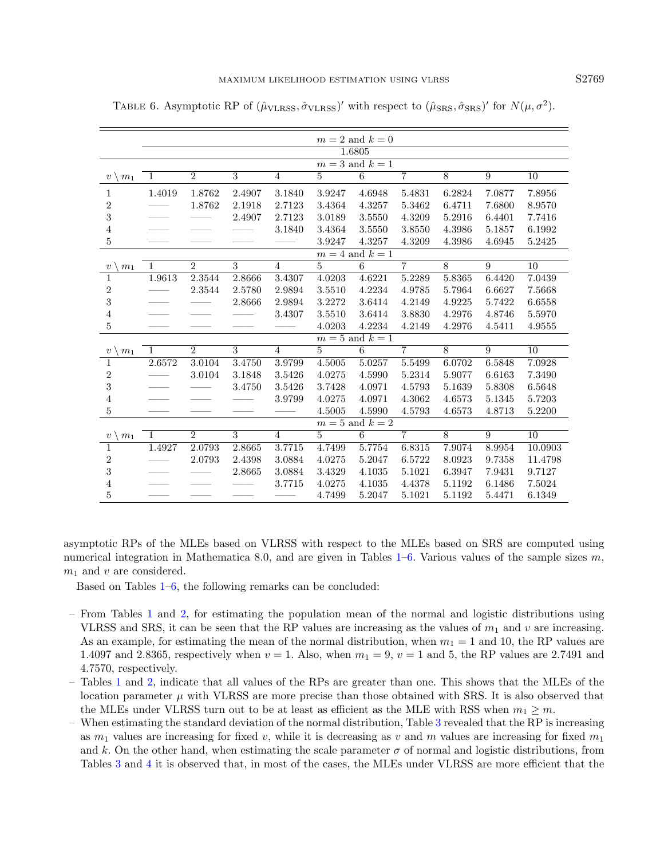|                                 | $m=2$ and $k=0$     |                     |                         |                |                |                 |                |                |                |                 |  |
|---------------------------------|---------------------|---------------------|-------------------------|----------------|----------------|-----------------|----------------|----------------|----------------|-----------------|--|
|                                 | 1.6805              |                     |                         |                |                |                 |                |                |                |                 |  |
|                                 | $m=3$ and $k=1$     |                     |                         |                |                |                 |                |                |                |                 |  |
| $v \setminus m_1$               | 1                   | $\overline{2}$      | $\overline{3}$          | $\overline{4}$ | $\overline{5}$ | $\overline{6}$  | $\overline{7}$ | $\overline{8}$ | $\overline{9}$ | $\overline{10}$ |  |
| $\mathbf{1}$                    | 1.4019              | 1.8762              | 2.4907                  | 3.1840         | 3.9247         | 4.6948          | 5.4831         | 6.2824         | 7.0877         | 7.8956          |  |
| $\boldsymbol{2}$                |                     | 1.8762              | 2.1918                  | 2.7123         | 3.4364         | 4.3257          | 5.3462         | 6.4711         | 7.6800         | 8.9570          |  |
| $\sqrt{3}$                      |                     |                     | 2.4907                  | 2.7123         | 3.0189         | 3.5550          | 4.3209         | 5.2916         | 6.4401         | 7.7416          |  |
| $\overline{4}$                  |                     |                     |                         | 3.1840         | 3.4364         | 3.5550          | 3.8550         | 4.3986         | 5.1857         | 6.1992          |  |
| 5                               |                     |                     |                         |                | 3.9247         | 4.3257          | 4.3209         | 4.3986         | 4.6945         | 5.2425          |  |
|                                 | $m = 4$ and $k = 1$ |                     |                         |                |                |                 |                |                |                |                 |  |
| $v \setminus$<br>m <sub>1</sub> | $\mathbf{1}$        | $\overline{2}$      | $\overline{3}$          | $\overline{4}$ | $5^{\circ}$    | 6               | $\overline{7}$ | 8              | 9              | 10              |  |
| 1                               | 1.9613              | 2.3544              | 2.8666                  | 3.4307         | 4.0203         | 4.6221          | 5.2289         | 5.8365         | 6.4420         | 7.0439          |  |
| $\overline{2}$                  |                     | $\phantom{-}2.3544$ | 2.5780                  | 2.9894         | 3.5510         | 4.2234          | 4.9785         | 5.7964         | 6.6627         | 7.5668          |  |
| $\sqrt{3}$                      |                     |                     | 2.8666                  | 2.9894         | 3.2272         | 3.6414          | 4.2149         | 4.9225         | 5.7422         | 6.6558          |  |
| $\overline{4}$                  |                     |                     |                         | 3.4307         | 3.5510         | 3.6414          | 3.8830         | 4.2976         | 4.8746         | 5.5970          |  |
| 5                               |                     |                     |                         |                | 4.0203         | 4.2234          | 4.2149         | 4.2976         | 4.5411         | 4.9555          |  |
|                                 |                     |                     |                         |                |                | $m=5$ and $k=1$ |                |                |                |                 |  |
| $v \setminus$<br>m <sub>1</sub> | 1                   | $\overline{2}$      | 3                       | $\overline{4}$ | $5^{\circ}$    | 6               | $\overline{7}$ | 8              | 9              | 10              |  |
| $\mathbf{1}$                    | 2.6572              | 3.0104              | 3.4750                  | 3.9799         | 4.5005         | 5.0257          | 5.5499         | 6.0702         | 6.5848         | 7.0928          |  |
| $\overline{2}$                  |                     | 3.0104              | 3.1848                  | 3.5426         | 4.0275         | 4.5990          | 5.2314         | 5.9077         | 6.6163         | 7.3490          |  |
| $\sqrt{3}$                      |                     |                     | 3.4750                  | 3.5426         | 3.7428         | 4.0971          | 4.5793         | 5.1639         | 5.8308         | 6.5648          |  |
| $\overline{4}$                  |                     |                     |                         | 3.9799         | 4.0275         | 4.0971          | 4.3062         | 4.6573         | 5.1345         | 5.7203          |  |
| 5                               |                     |                     |                         |                | 4.5005         | 4.5990          | 4.5793         | 4.6573         | 4.8713         | 5.2200          |  |
|                                 |                     |                     |                         |                |                | $m=5$ and $k=2$ |                |                |                |                 |  |
| $v \setminus m_1$               | 1                   | $\overline{2}$      | $\overline{\mathbf{3}}$ | $\overline{4}$ | $5^{\circ}$    | 6               | $\overline{7}$ | $\overline{8}$ | 9              | 10              |  |
| $\mathbf{1}$                    | 1.4927              | 2.0793              | 2.8665                  | 3.7715         | 4.7499         | 5.7754          | 6.8315         | 7.9074         | 8.9954         | 10.0903         |  |
| $\boldsymbol{2}$                |                     | 2.0793              | 2.4398                  | 3.0884         | 4.0275         | 5.2047          | 6.5722         | 8.0923         | 9.7358         | 11.4798         |  |
| 3                               |                     |                     | 2.8665                  | 3.0884         | 3.4329         | 4.1035          | 5.1021         | 6.3947         | 7.9431         | 9.7127          |  |

<span id="page-10-0"></span>TABLE 6. Asymptotic RP of  $(\hat{\mu}_{\text{VLRSS}}, \hat{\sigma}_{\text{VLRSS}})'$  with respect to  $(\hat{\mu}_{\text{SRS}}, \hat{\sigma}_{\text{SRS}})'$  for  $N(\mu, \sigma^2)$ .

asymptotic RPs of the MLEs based on VLRSS with respect to the MLEs based on SRS are computed using numerical integration in Mathematica 8.0, and are given in Tables  $1-6$ . Various values of the sample sizes m,  $m_1$  and v are considered.

 $\frac{4}{100}$  —— —— 3.7715  $\frac{4.0275}{10035}$   $\frac{4.1035}{10035}$   $\frac{4.4378}{10035}$   $\frac{5.1192}{6.1486}$   $\frac{7.5024}{1000}$ 5 —— —— —— —— 4.7499 5.2047 5.1021 5.1192 5.4471 6.1349

Based on Tables [1](#page-5-0)[–6,](#page-10-0) the following remarks can be concluded:

ċ

- From Tables [1](#page-5-0) and [2,](#page-6-0) for estimating the population mean of the normal and logistic distributions using VLRSS and SRS, it can be seen that the RP values are increasing as the values of  $m_1$  and v are increasing. As an example, for estimating the mean of the normal distribution, when  $m_1 = 1$  and 10, the RP values are 1.4097 and 2.8365, respectively when  $v = 1$ . Also, when  $m_1 = 9$ ,  $v = 1$  and 5, the RP values are 2.7491 and 4.7570, respectively.
- Tables [1](#page-5-0) and [2,](#page-6-0) indicate that all values of the RPs are greater than one. This shows that the MLEs of the location parameter  $\mu$  with VLRSS are more precise than those obtained with SRS. It is also observed that the MLEs under VLRSS turn out to be at least as efficient as the MLE with RSS when  $m_1 \geq m$ .
- When estimating the standard deviation of the normal distribution, Table [3](#page-7-0) revealed that the RP is increasing as  $m_1$  values are increasing for fixed v, while it is decreasing as v and m values are increasing for fixed  $m_1$ and k. On the other hand, when estimating the scale parameter  $\sigma$  of normal and logistic distributions, from Tables [3](#page-7-0) and [4](#page-8-0) it is observed that, in most of the cases, the MLEs under VLRSS are more efficient that the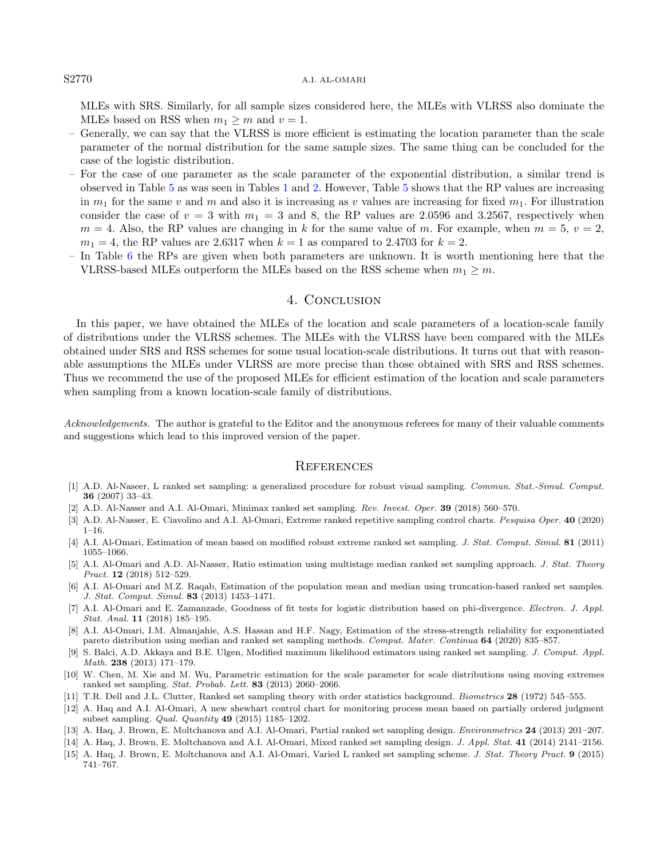#### S2770 A.I. AL-OMARI

MLEs with SRS. Similarly, for all sample sizes considered here, the MLEs with VLRSS also dominate the MLEs based on RSS when  $m_1 \geq m$  and  $v = 1$ .

- Generally, we can say that the VLRSS is more efficient is estimating the location parameter than the scale parameter of the normal distribution for the same sample sizes. The same thing can be concluded for the case of the logistic distribution.
- For the case of one parameter as the scale parameter of the exponential distribution, a similar trend is observed in Table [5](#page-9-1) as was seen in Tables [1](#page-5-0) and [2.](#page-6-0) However, Table [5](#page-9-1) shows that the RP values are increasing in  $m_1$  for the same v and m and also it is increasing as v values are increasing for fixed  $m_1$ . For illustration consider the case of  $v = 3$  with  $m_1 = 3$  and 8, the RP values are 2.0596 and 3.2567, respectively when  $m = 4$ . Also, the RP values are changing in k for the same value of m. For example, when  $m = 5$ ,  $v = 2$ ,  $m_1 = 4$ , the RP values are 2.6317 when  $k = 1$  as compared to 2.4703 for  $k = 2$ .
- In Table [6](#page-10-0) the RPs are given when both parameters are unknown. It is worth mentioning here that the VLRSS-based MLEs outperform the MLEs based on the RSS scheme when  $m_1 \geq m$ .

### 4. Conclusion

<span id="page-11-15"></span><span id="page-11-11"></span><span id="page-11-7"></span><span id="page-11-1"></span>In this paper, we have obtained the MLEs of the location and scale parameters of a location-scale family of distributions under the VLRSS schemes. The MLEs with the VLRSS have been compared with the MLEs obtained under SRS and RSS schemes for some usual location-scale distributions. It turns out that with reasonable assumptions the MLEs under VLRSS are more precise than those obtained with SRS and RSS schemes. Thus we recommend the use of the proposed MLEs for efficient estimation of the location and scale parameters when sampling from a known location-scale family of distributions.

<span id="page-11-9"></span><span id="page-11-6"></span><span id="page-11-5"></span><span id="page-11-2"></span>Acknowledgements. The author is grateful to the Editor and the anonymous referees for many of their valuable comments and suggestions which lead to this improved version of the paper.

#### **REFERENCES**

- <span id="page-11-13"></span><span id="page-11-10"></span>[1] A.D. Al-Naseer, L ranked set sampling: a generalized procedure for robust visual sampling. Commun. Stat.-Simul. Comput. 36 (2007) 33–43.
- <span id="page-11-14"></span>[2] A.D. Al-Nasser and A.I. Al-Omari, Minimax ranked set sampling. Rev. Invest. Oper. 39 (2018) 560–570.
- [3] A.D. Al-Nasser, E. Ciavolino and A.I. Al-Omari, Extreme ranked repetitive sampling control charts. Pesquisa Oper. 40 (2020)  $1 - 16$ .
- <span id="page-11-8"></span><span id="page-11-0"></span>[4] A.I. Al-Omari, Estimation of mean based on modified robust extreme ranked set sampling. J. Stat. Comput. Simul. 81 (2011) 1055–1066.
- <span id="page-11-3"></span>[5] A.I. Al-Omari and A.D. Al-Nasser, Ratio estimation using multistage median ranked set sampling approach. J. Stat. Theory Pract. **12** (2018) 512-529.
- <span id="page-11-12"></span><span id="page-11-4"></span>[6] A.I. Al-Omari and M.Z. Raqab, Estimation of the population mean and median using truncation-based ranked set samples. J. Stat. Comput. Simul. 83 (2013) 1453–1471.
- [7] A.I. Al-Omari and E. Zamanzade, Goodness of fit tests for logistic distribution based on phi-divergence. Electron. J. Appl. Stat. Anal. 11 (2018) 185–195.
- [8] A.I. Al-Omari, I.M. Almanjahie, A.S. Hassan and H.F. Nagy, Estimation of the stress-strength reliability for exponentiated pareto distribution using median and ranked set sampling methods. Comput. Mater. Continua 64 (2020) 835–857.
- [9] S. Balci, A.D. Akkaya and B.E. Ulgen, Modified maximum likelihood estimators using ranked set sampling. J. Comput. Appl. Math. 238 (2013) 171–179.
- [10] W. Chen, M. Xie and M. Wu, Parametric estimation for the scale parameter for scale distributions using moving extremes ranked set sampling. Stat. Probab. Lett. 83 (2013) 2060–2066.
- [11] T.R. Dell and J.L. Clutter, Ranked set sampling theory with order statistics background. Biometrics 28 (1972) 545–555.
- [12] A. Haq and A.I. Al-Omari, A new shewhart control chart for monitoring process mean based on partially ordered judgment subset sampling. Qual. Quantity 49 (2015) 1185–1202.
- [13] A. Haq, J. Brown, E. Moltchanova and A.I. Al-Omari, Partial ranked set sampling design. Environmetrics 24 (2013) 201–207.
- [14] A. Haq, J. Brown, E. Moltchanova and A.I. Al-Omari, Mixed ranked set sampling design. J. Appl. Stat. 41 (2014) 2141–2156.
- [15] A. Haq, J. Brown, E. Moltchanova and A.I. Al-Omari, Varied L ranked set sampling scheme. J. Stat. Theory Pract. 9 (2015) 741–767.